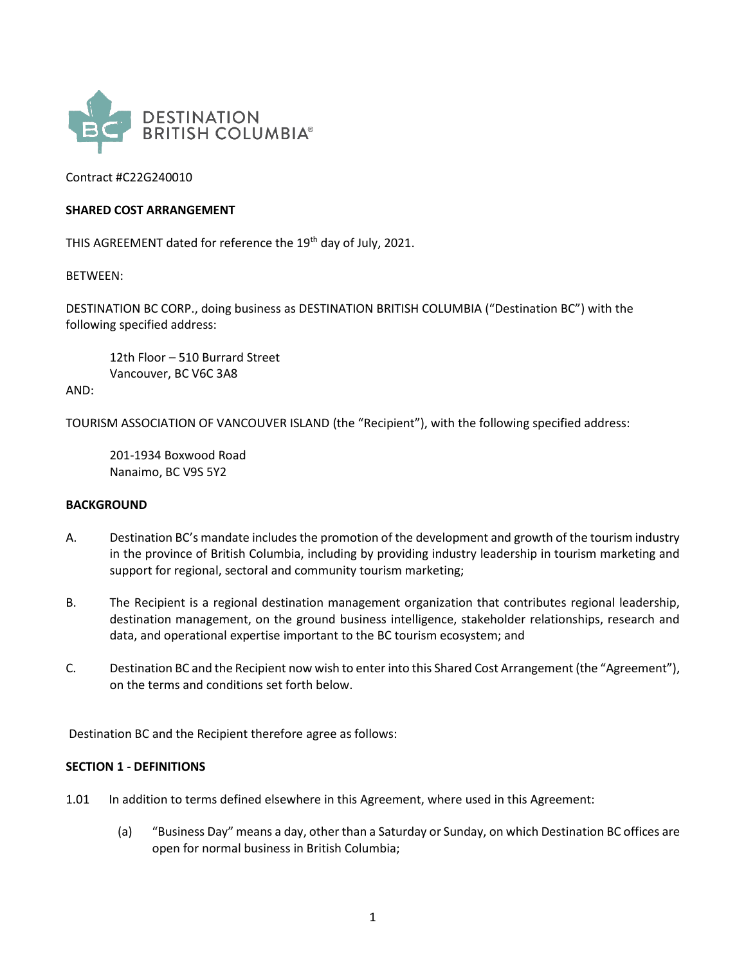

Contract #C22G240010

#### **SHARED COST ARRANGEMENT**

THIS AGREEMENT dated for reference the 19<sup>th</sup> day of July, 2021.

BETWEEN:

DESTINATION BC CORP., doing business as DESTINATION BRITISH COLUMBIA ("Destination BC") with the following specified address:

12th Floor – 510 Burrard Street Vancouver, BC V6C 3A8

AND:

TOURISM ASSOCIATION OF VANCOUVER ISLAND (the "Recipient"), with the following specified address:

201-1934 Boxwood Road Nanaimo, BC V9S 5Y2

#### **BACKGROUND**

- A. Destination BC's mandate includes the promotion of the development and growth of the tourism industry in the province of British Columbia, including by providing industry leadership in tourism marketing and support for regional, sectoral and community tourism marketing;
- B. The Recipient is a regional destination management organization that contributes regional leadership, destination management, on the ground business intelligence, stakeholder relationships, research and data, and operational expertise important to the BC tourism ecosystem; and
- C. Destination BC and the Recipient now wish to enter into this Shared Cost Arrangement (the "Agreement"), on the terms and conditions set forth below.

Destination BC and the Recipient therefore agree as follows:

#### **SECTION 1 - DEFINITIONS**

- 1.01 In addition to terms defined elsewhere in this Agreement, where used in this Agreement:
	- (a) "Business Day" means a day, other than a Saturday or Sunday, on which Destination BC offices are open for normal business in British Columbia;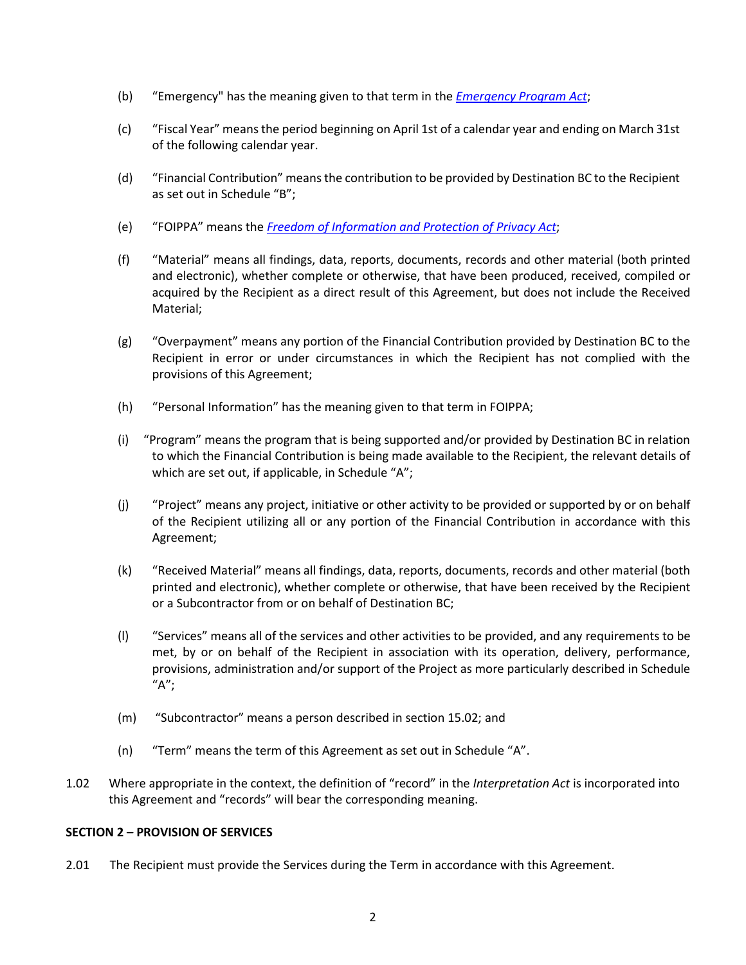- (b) "Emergency" has the meaning given to that term in the *[Emergency Program Act](https://www.bclaws.gov.bc.ca/civix/document/id/complete/statreg/00_96111_01)*;
- (c) "Fiscal Year" means the period beginning on April 1st of a calendar year and ending on March 31st of the following calendar year.
- (d) "Financial Contribution" meansthe contribution to be provided by Destination BC to the Recipient as set out in Schedule "B";
- (e) "FOIPPA" means the *[Freedom of Information and Protection of Privacy Act](https://www.bclaws.gov.bc.ca/civix/document/id/complete/statreg/96165_00)*;
- (f) "Material" means all findings, data, reports, documents, records and other material (both printed and electronic), whether complete or otherwise, that have been produced, received, compiled or acquired by the Recipient as a direct result of this Agreement, but does not include the Received Material;
- (g) "Overpayment" means any portion of the Financial Contribution provided by Destination BC to the Recipient in error or under circumstances in which the Recipient has not complied with the provisions of this Agreement;
- (h) "Personal Information" has the meaning given to that term in FOIPPA;
- (i) "Program" means the program that is being supported and/or provided by Destination BC in relation to which the Financial Contribution is being made available to the Recipient, the relevant details of which are set out, if applicable, in Schedule "A";
- (j) "Project" means any project, initiative or other activity to be provided or supported by or on behalf of the Recipient utilizing all or any portion of the Financial Contribution in accordance with this Agreement;
- (k) "Received Material" means all findings, data, reports, documents, records and other material (both printed and electronic), whether complete or otherwise, that have been received by the Recipient or a Subcontractor from or on behalf of Destination BC;
- (l) "Services" means all of the services and other activities to be provided, and any requirements to be met, by or on behalf of the Recipient in association with its operation, delivery, performance, provisions, administration and/or support of the Project as more particularly described in Schedule "A";
- (m) "Subcontractor" means a person described in section 15.02; and
- (n) "Term" means the term of this Agreement as set out in Schedule "A".
- 1.02 Where appropriate in the context, the definition of "record" in the *Interpretation Act* is incorporated into this Agreement and "records" will bear the corresponding meaning.

## **SECTION 2 – PROVISION OF SERVICES**

2.01 The Recipient must provide the Services during the Term in accordance with this Agreement.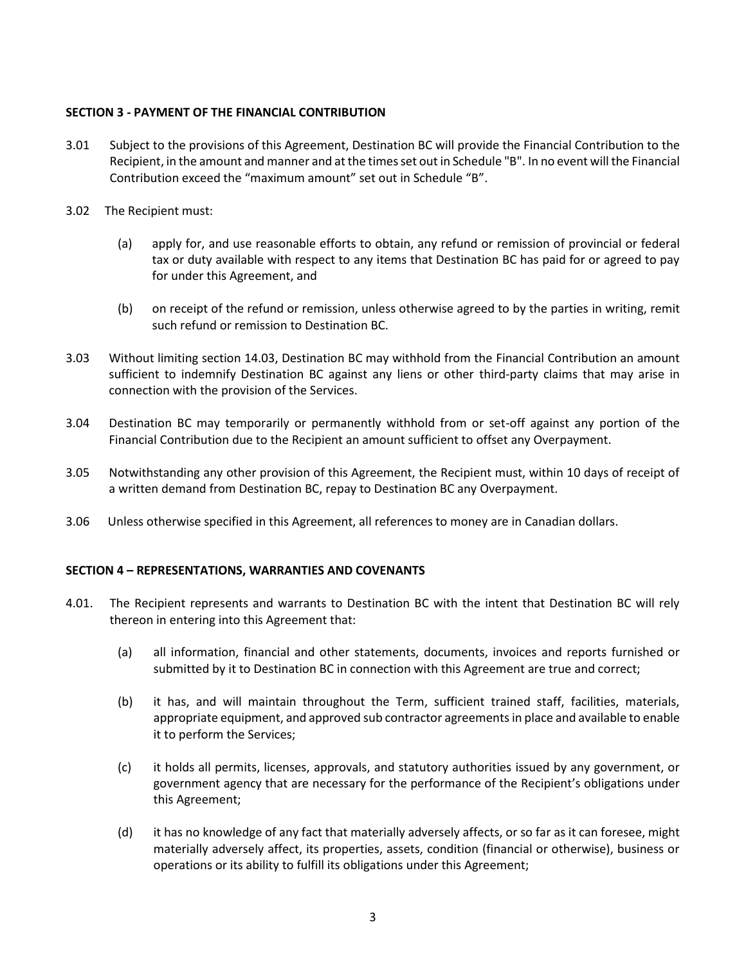## **SECTION 3 - PAYMENT OF THE FINANCIAL CONTRIBUTION**

- 3.01 Subject to the provisions of this Agreement, Destination BC will provide the Financial Contribution to the Recipient, in the amount and manner and at the times set out in Schedule "B". In no event will the Financial Contribution exceed the "maximum amount" set out in Schedule "B".
- 3.02 The Recipient must:
	- (a) apply for, and use reasonable efforts to obtain, any refund or remission of provincial or federal tax or duty available with respect to any items that Destination BC has paid for or agreed to pay for under this Agreement, and
	- (b) on receipt of the refund or remission, unless otherwise agreed to by the parties in writing, remit such refund or remission to Destination BC.
- 3.03 Without limiting section 14.03, Destination BC may withhold from the Financial Contribution an amount sufficient to indemnify Destination BC against any liens or other third-party claims that may arise in connection with the provision of the Services.
- 3.04 Destination BC may temporarily or permanently withhold from or set-off against any portion of the Financial Contribution due to the Recipient an amount sufficient to offset any Overpayment.
- 3.05 Notwithstanding any other provision of this Agreement, the Recipient must, within 10 days of receipt of a written demand from Destination BC, repay to Destination BC any Overpayment.
- 3.06 Unless otherwise specified in this Agreement, all references to money are in Canadian dollars.

## **SECTION 4 – REPRESENTATIONS, WARRANTIES AND COVENANTS**

- 4.01. The Recipient represents and warrants to Destination BC with the intent that Destination BC will rely thereon in entering into this Agreement that:
	- (a) all information, financial and other statements, documents, invoices and reports furnished or submitted by it to Destination BC in connection with this Agreement are true and correct;
	- (b) it has, and will maintain throughout the Term, sufficient trained staff, facilities, materials, appropriate equipment, and approved sub contractor agreements in place and available to enable it to perform the Services;
	- (c) it holds all permits, licenses, approvals, and statutory authorities issued by any government, or government agency that are necessary for the performance of the Recipient's obligations under this Agreement;
	- (d) it has no knowledge of any fact that materially adversely affects, or so far as it can foresee, might materially adversely affect, its properties, assets, condition (financial or otherwise), business or operations or its ability to fulfill its obligations under this Agreement;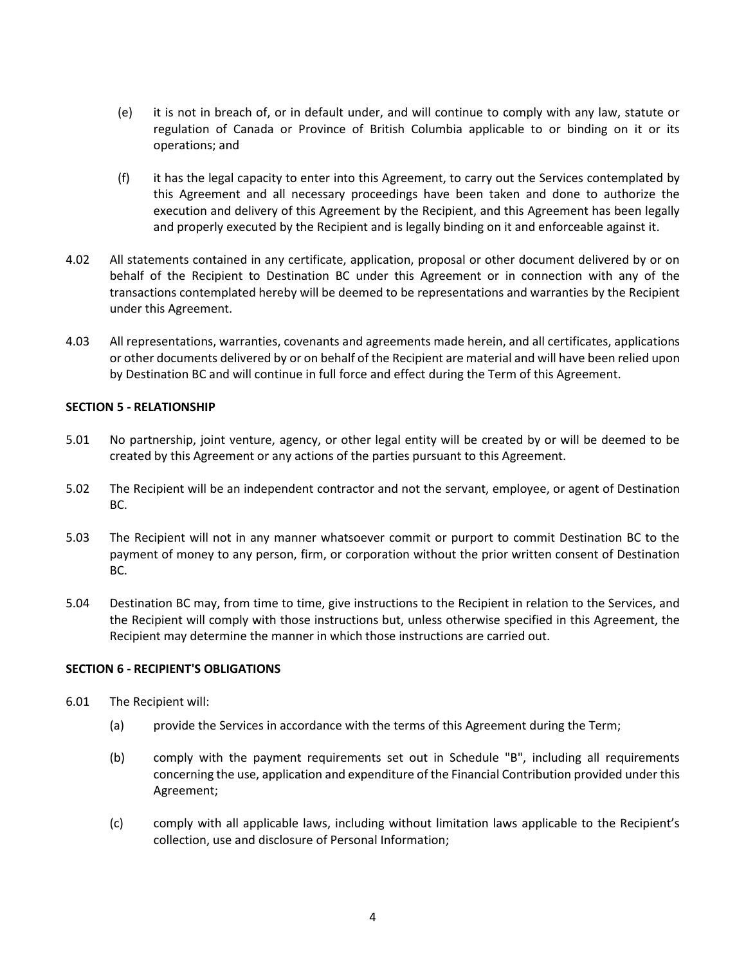- (e) it is not in breach of, or in default under, and will continue to comply with any law, statute or regulation of Canada or Province of British Columbia applicable to or binding on it or its operations; and
- (f) it has the legal capacity to enter into this Agreement, to carry out the Services contemplated by this Agreement and all necessary proceedings have been taken and done to authorize the execution and delivery of this Agreement by the Recipient, and this Agreement has been legally and properly executed by the Recipient and is legally binding on it and enforceable against it.
- 4.02 All statements contained in any certificate, application, proposal or other document delivered by or on behalf of the Recipient to Destination BC under this Agreement or in connection with any of the transactions contemplated hereby will be deemed to be representations and warranties by the Recipient under this Agreement.
- 4.03 All representations, warranties, covenants and agreements made herein, and all certificates, applications or other documents delivered by or on behalf of the Recipient are material and will have been relied upon by Destination BC and will continue in full force and effect during the Term of this Agreement.

#### **SECTION 5 - RELATIONSHIP**

- 5.01 No partnership, joint venture, agency, or other legal entity will be created by or will be deemed to be created by this Agreement or any actions of the parties pursuant to this Agreement.
- 5.02 The Recipient will be an independent contractor and not the servant, employee, or agent of Destination BC.
- 5.03 The Recipient will not in any manner whatsoever commit or purport to commit Destination BC to the payment of money to any person, firm, or corporation without the prior written consent of Destination BC.
- 5.04 Destination BC may, from time to time, give instructions to the Recipient in relation to the Services, and the Recipient will comply with those instructions but, unless otherwise specified in this Agreement, the Recipient may determine the manner in which those instructions are carried out.

#### **SECTION 6 - RECIPIENT'S OBLIGATIONS**

- 6.01 The Recipient will:
	- (a) provide the Services in accordance with the terms of this Agreement during the Term;
	- (b) comply with the payment requirements set out in Schedule "B", including all requirements concerning the use, application and expenditure of the Financial Contribution provided under this Agreement;
	- (c) comply with all applicable laws, including without limitation laws applicable to the Recipient's collection, use and disclosure of Personal Information;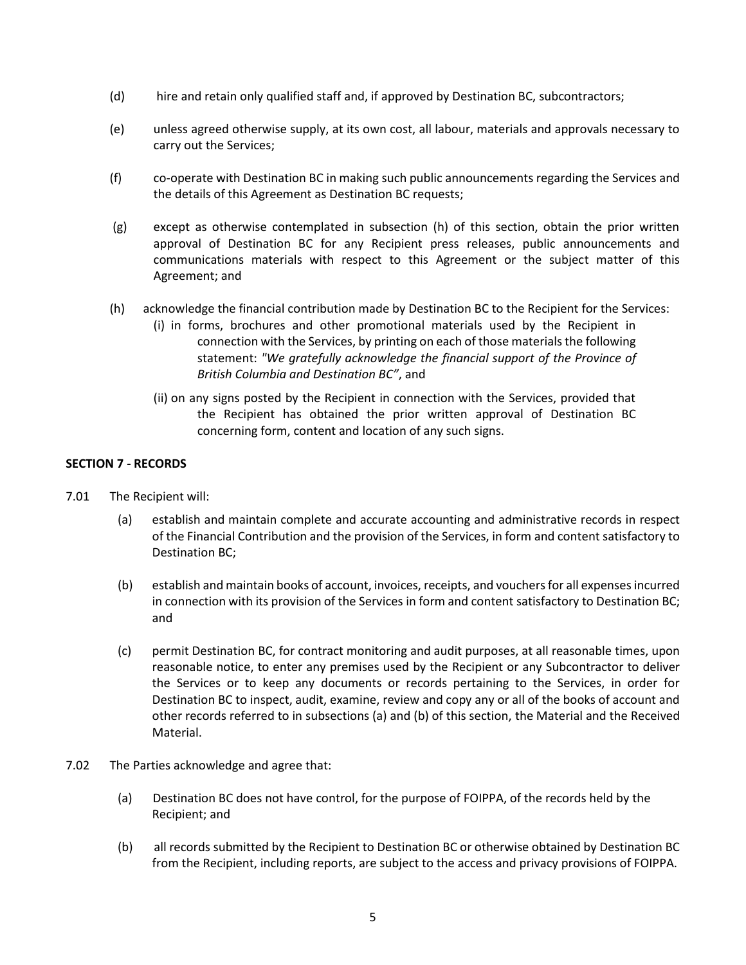- (d) hire and retain only qualified staff and, if approved by Destination BC, subcontractors;
- (e) unless agreed otherwise supply, at its own cost, all labour, materials and approvals necessary to carry out the Services;
- (f) co-operate with Destination BC in making such public announcements regarding the Services and the details of this Agreement as Destination BC requests;
- (g) except as otherwise contemplated in subsection (h) of this section, obtain the prior written approval of Destination BC for any Recipient press releases, public announcements and communications materials with respect to this Agreement or the subject matter of this Agreement; and
- (h) acknowledge the financial contribution made by Destination BC to the Recipient for the Services:
	- (i) in forms, brochures and other promotional materials used by the Recipient in connection with the Services, by printing on each of those materials the following statement: *"We gratefully acknowledge the financial support of the Province of British Columbia and Destination BC"*, and
	- (ii) on any signs posted by the Recipient in connection with the Services, provided that the Recipient has obtained the prior written approval of Destination BC concerning form, content and location of any such signs.

# **SECTION 7 - RECORDS**

- 7.01 The Recipient will:
	- (a) establish and maintain complete and accurate accounting and administrative records in respect of the Financial Contribution and the provision of the Services, in form and content satisfactory to Destination BC;
	- (b) establish and maintain books of account, invoices, receipts, and vouchers for all expenses incurred in connection with its provision of the Services in form and content satisfactory to Destination BC; and
	- (c) permit Destination BC, for contract monitoring and audit purposes, at all reasonable times, upon reasonable notice, to enter any premises used by the Recipient or any Subcontractor to deliver the Services or to keep any documents or records pertaining to the Services, in order for Destination BC to inspect, audit, examine, review and copy any or all of the books of account and other records referred to in subsections (a) and (b) of this section, the Material and the Received Material.
- 7.02 The Parties acknowledge and agree that:
	- (a) Destination BC does not have control, for the purpose of FOIPPA, of the records held by the Recipient; and
	- (b) all records submitted by the Recipient to Destination BC or otherwise obtained by Destination BC from the Recipient, including reports, are subject to the access and privacy provisions of FOIPPA*.*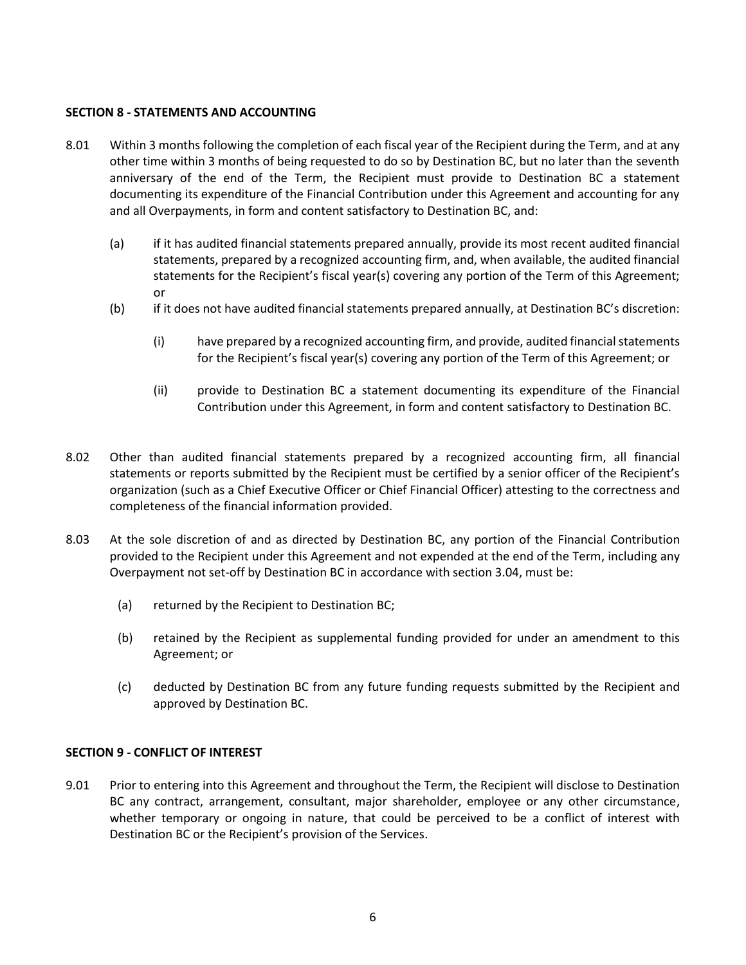#### **SECTION 8 - STATEMENTS AND ACCOUNTING**

- 8.01 Within 3 months following the completion of each fiscal year of the Recipient during the Term, and at any other time within 3 months of being requested to do so by Destination BC, but no later than the seventh anniversary of the end of the Term, the Recipient must provide to Destination BC a statement documenting its expenditure of the Financial Contribution under this Agreement and accounting for any and all Overpayments, in form and content satisfactory to Destination BC, and:
	- (a) if it has audited financial statements prepared annually, provide its most recent audited financial statements, prepared by a recognized accounting firm, and, when available, the audited financial statements for the Recipient's fiscal year(s) covering any portion of the Term of this Agreement; or
	- (b) if it does not have audited financial statements prepared annually, at Destination BC's discretion:
		- (i) have prepared by a recognized accounting firm, and provide, audited financial statements for the Recipient's fiscal year(s) covering any portion of the Term of this Agreement; or
		- (ii) provide to Destination BC a statement documenting its expenditure of the Financial Contribution under this Agreement, in form and content satisfactory to Destination BC.
- 8.02 Other than audited financial statements prepared by a recognized accounting firm, all financial statements or reports submitted by the Recipient must be certified by a senior officer of the Recipient's organization (such as a Chief Executive Officer or Chief Financial Officer) attesting to the correctness and completeness of the financial information provided.
- 8.03 At the sole discretion of and as directed by Destination BC, any portion of the Financial Contribution provided to the Recipient under this Agreement and not expended at the end of the Term, including any Overpayment not set-off by Destination BC in accordance with section 3.04, must be:
	- (a) returned by the Recipient to Destination BC;
	- (b) retained by the Recipient as supplemental funding provided for under an amendment to this Agreement; or
	- (c) deducted by Destination BC from any future funding requests submitted by the Recipient and approved by Destination BC.

## **SECTION 9 - CONFLICT OF INTEREST**

9.01 Prior to entering into this Agreement and throughout the Term, the Recipient will disclose to Destination BC any contract, arrangement, consultant, major shareholder, employee or any other circumstance, whether temporary or ongoing in nature, that could be perceived to be a conflict of interest with Destination BC or the Recipient's provision of the Services.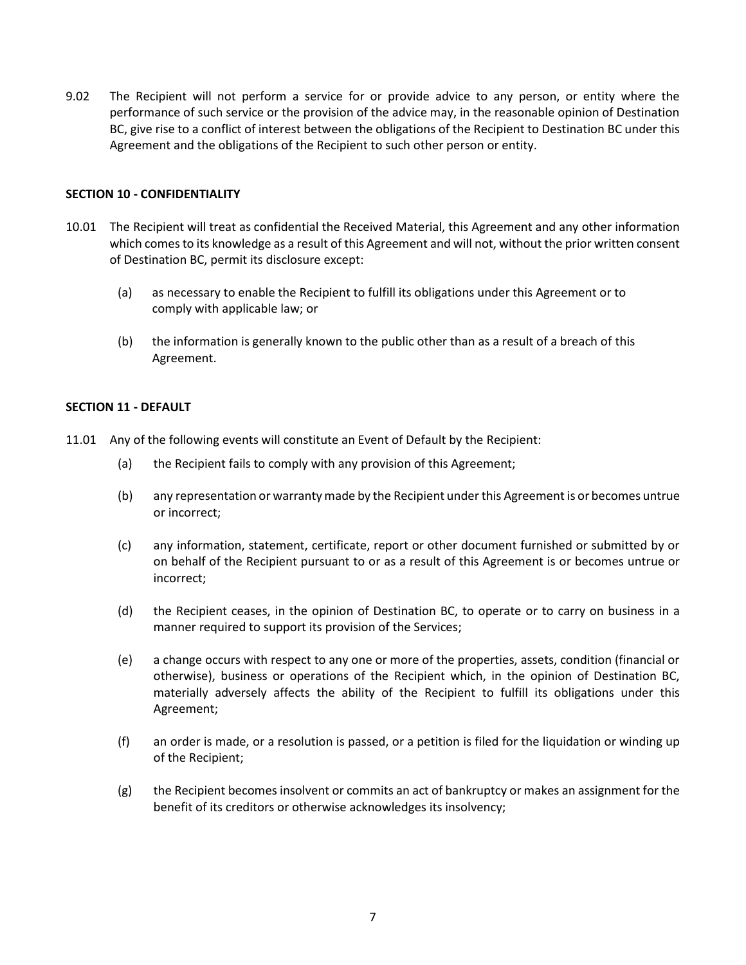9.02 The Recipient will not perform a service for or provide advice to any person, or entity where the performance of such service or the provision of the advice may, in the reasonable opinion of Destination BC, give rise to a conflict of interest between the obligations of the Recipient to Destination BC under this Agreement and the obligations of the Recipient to such other person or entity.

#### **SECTION 10 - CONFIDENTIALITY**

- 10.01 The Recipient will treat as confidential the Received Material, this Agreement and any other information which comes to its knowledge as a result of this Agreement and will not, without the prior written consent of Destination BC, permit its disclosure except:
	- (a) as necessary to enable the Recipient to fulfill its obligations under this Agreement or to comply with applicable law; or
	- (b) the information is generally known to the public other than as a result of a breach of this Agreement.

#### **SECTION 11 - DEFAULT**

- 11.01 Any of the following events will constitute an Event of Default by the Recipient:
	- (a) the Recipient fails to comply with any provision of this Agreement;
	- (b) any representation or warranty made by the Recipient under this Agreement is or becomes untrue or incorrect;
	- (c) any information, statement, certificate, report or other document furnished or submitted by or on behalf of the Recipient pursuant to or as a result of this Agreement is or becomes untrue or incorrect;
	- (d) the Recipient ceases, in the opinion of Destination BC, to operate or to carry on business in a manner required to support its provision of the Services;
	- (e) a change occurs with respect to any one or more of the properties, assets, condition (financial or otherwise), business or operations of the Recipient which, in the opinion of Destination BC, materially adversely affects the ability of the Recipient to fulfill its obligations under this Agreement;
	- (f) an order is made, or a resolution is passed, or a petition is filed for the liquidation or winding up of the Recipient;
	- (g) the Recipient becomes insolvent or commits an act of bankruptcy or makes an assignment for the benefit of its creditors or otherwise acknowledges its insolvency;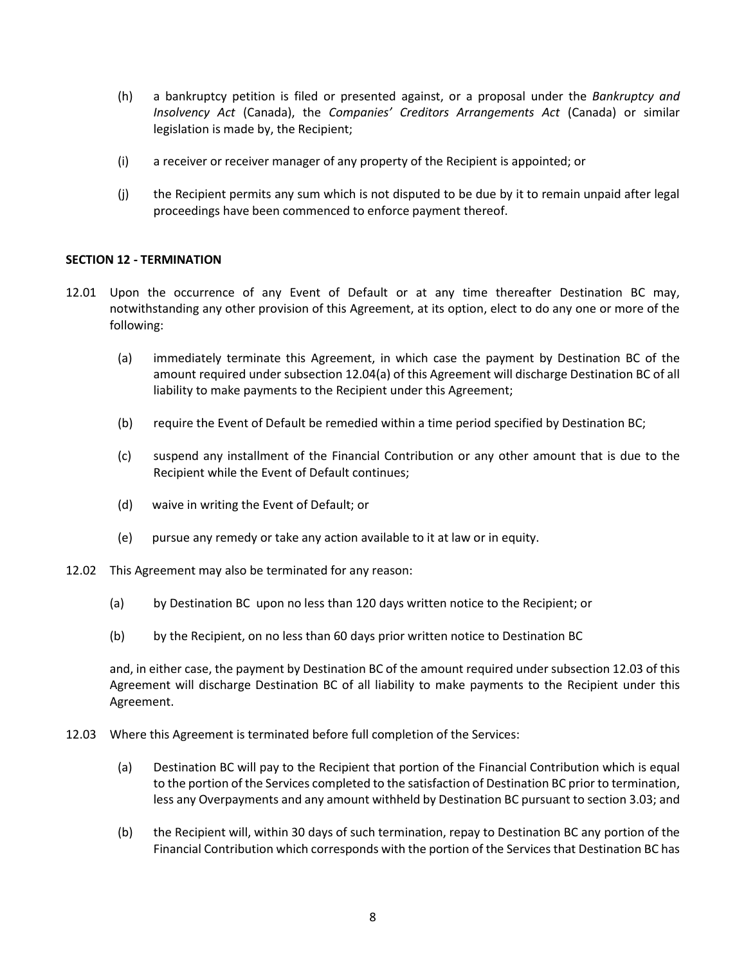- (h) a bankruptcy petition is filed or presented against, or a proposal under the *Bankruptcy and Insolvency Act* (Canada), the *Companies' Creditors Arrangements Act* (Canada) or similar legislation is made by, the Recipient;
- (i) a receiver or receiver manager of any property of the Recipient is appointed; or
- (j) the Recipient permits any sum which is not disputed to be due by it to remain unpaid after legal proceedings have been commenced to enforce payment thereof.

## **SECTION 12 - TERMINATION**

- 12.01 Upon the occurrence of any Event of Default or at any time thereafter Destination BC may, notwithstanding any other provision of this Agreement, at its option, elect to do any one or more of the following:
	- (a) immediately terminate this Agreement, in which case the payment by Destination BC of the amount required under subsection 12.04(a) of this Agreement will discharge Destination BC of all liability to make payments to the Recipient under this Agreement;
	- (b) require the Event of Default be remedied within a time period specified by Destination BC;
	- (c) suspend any installment of the Financial Contribution or any other amount that is due to the Recipient while the Event of Default continues;
	- (d) waive in writing the Event of Default; or
	- (e) pursue any remedy or take any action available to it at law or in equity.
- 12.02 This Agreement may also be terminated for any reason:
	- (a) by Destination BC upon no less than 120 days written notice to the Recipient; or
	- (b) by the Recipient, on no less than 60 days prior written notice to Destination BC

and, in either case, the payment by Destination BC of the amount required under subsection 12.03 of this Agreement will discharge Destination BC of all liability to make payments to the Recipient under this Agreement.

- 12.03 Where this Agreement is terminated before full completion of the Services:
	- (a) Destination BC will pay to the Recipient that portion of the Financial Contribution which is equal to the portion of the Services completed to the satisfaction of Destination BC prior to termination, less any Overpayments and any amount withheld by Destination BC pursuant to section 3.03; and
	- (b) the Recipient will, within 30 days of such termination, repay to Destination BC any portion of the Financial Contribution which corresponds with the portion of the Services that Destination BC has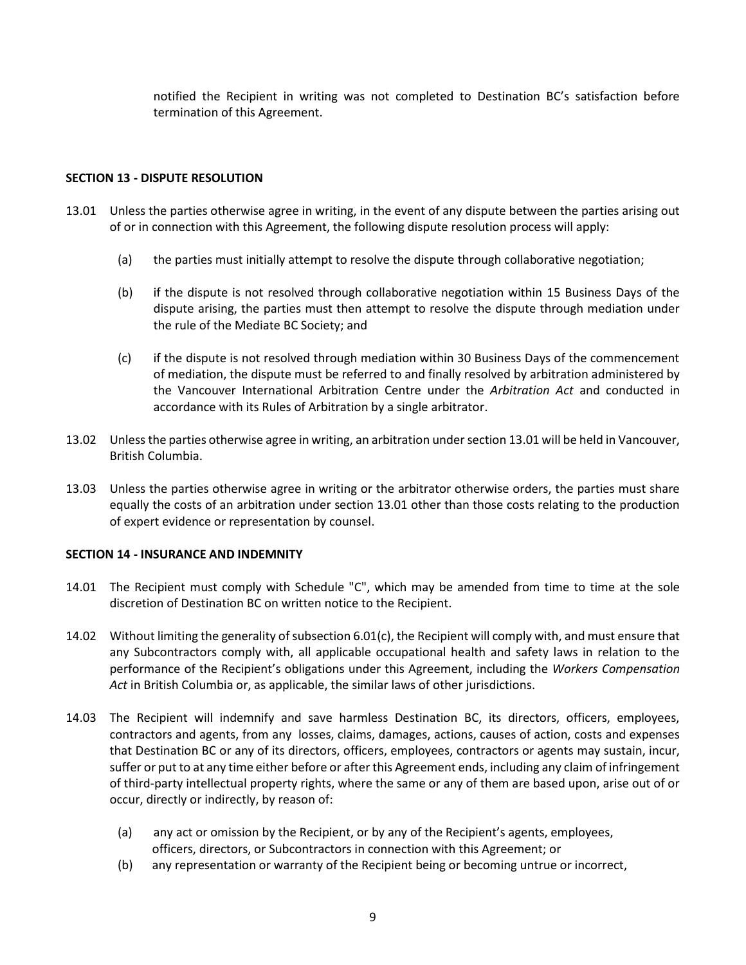notified the Recipient in writing was not completed to Destination BC's satisfaction before termination of this Agreement.

## **SECTION 13 - DISPUTE RESOLUTION**

- 13.01 Unless the parties otherwise agree in writing, in the event of any dispute between the parties arising out of or in connection with this Agreement, the following dispute resolution process will apply:
	- (a) the parties must initially attempt to resolve the dispute through collaborative negotiation;
	- (b) if the dispute is not resolved through collaborative negotiation within 15 Business Days of the dispute arising, the parties must then attempt to resolve the dispute through mediation under the rule of the Mediate BC Society; and
	- (c) if the dispute is not resolved through mediation within 30 Business Days of the commencement of mediation, the dispute must be referred to and finally resolved by arbitration administered by the Vancouver International Arbitration Centre under the *Arbitration Act* and conducted in accordance with its Rules of Arbitration by a single arbitrator.
- 13.02 Unless the parties otherwise agree in writing, an arbitration under section 13.01 will be held in Vancouver, British Columbia.
- 13.03 Unless the parties otherwise agree in writing or the arbitrator otherwise orders, the parties must share equally the costs of an arbitration under section 13.01 other than those costs relating to the production of expert evidence or representation by counsel.

## **SECTION 14 - INSURANCE AND INDEMNITY**

- 14.01 The Recipient must comply with Schedule "C", which may be amended from time to time at the sole discretion of Destination BC on written notice to the Recipient.
- 14.02 Without limiting the generality of subsection 6.01(c), the Recipient will comply with, and must ensure that any Subcontractors comply with, all applicable occupational health and safety laws in relation to the performance of the Recipient's obligations under this Agreement, including the *Workers Compensation Act* in British Columbia or, as applicable, the similar laws of other jurisdictions.
- 14.03 The Recipient will indemnify and save harmless Destination BC, its directors, officers, employees, contractors and agents, from any losses, claims, damages, actions, causes of action, costs and expenses that Destination BC or any of its directors, officers, employees, contractors or agents may sustain, incur, suffer or put to at any time either before or after this Agreement ends, including any claim of infringement of third-party intellectual property rights, where the same or any of them are based upon, arise out of or occur, directly or indirectly, by reason of:
	- (a) any act or omission by the Recipient, or by any of the Recipient's agents, employees, officers, directors, or Subcontractors in connection with this Agreement; or
	- (b) any representation or warranty of the Recipient being or becoming untrue or incorrect,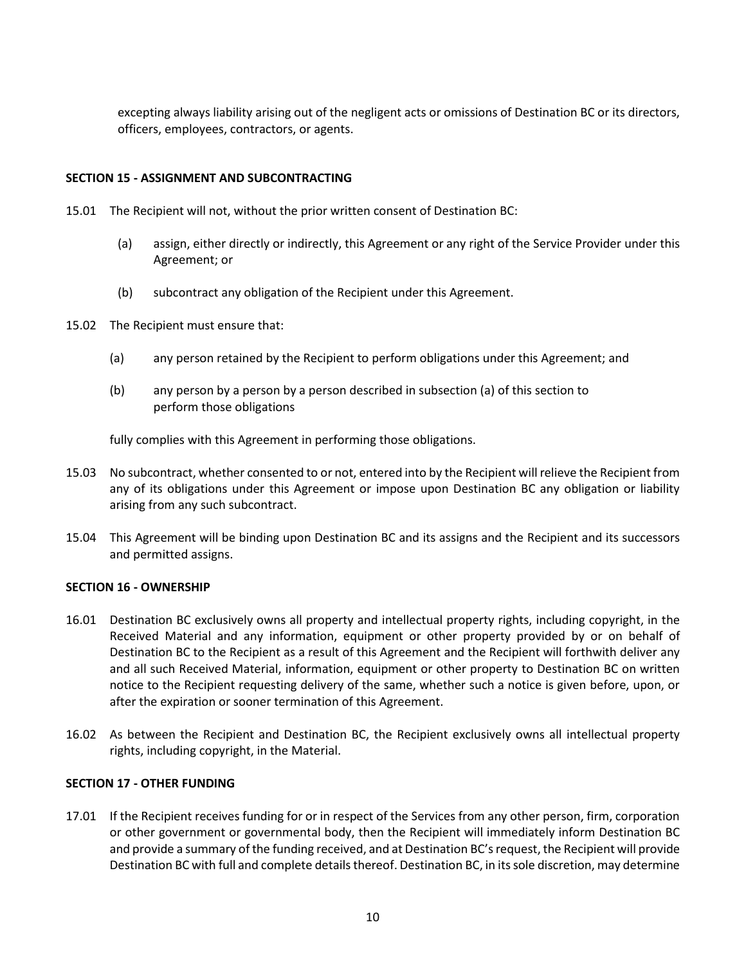excepting always liability arising out of the negligent acts or omissions of Destination BC or its directors, officers, employees, contractors, or agents.

## **SECTION 15 - ASSIGNMENT AND SUBCONTRACTING**

- 15.01 The Recipient will not, without the prior written consent of Destination BC:
	- (a) assign, either directly or indirectly, this Agreement or any right of the Service Provider under this Agreement; or
	- (b) subcontract any obligation of the Recipient under this Agreement.
- 15.02 The Recipient must ensure that:
	- (a) any person retained by the Recipient to perform obligations under this Agreement; and
	- (b) any person by a person by a person described in subsection (a) of this section to perform those obligations

fully complies with this Agreement in performing those obligations.

- 15.03 No subcontract, whether consented to or not, entered into by the Recipient will relieve the Recipient from any of its obligations under this Agreement or impose upon Destination BC any obligation or liability arising from any such subcontract.
- 15.04 This Agreement will be binding upon Destination BC and its assigns and the Recipient and its successors and permitted assigns.

#### **SECTION 16 - OWNERSHIP**

- 16.01 Destination BC exclusively owns all property and intellectual property rights, including copyright, in the Received Material and any information, equipment or other property provided by or on behalf of Destination BC to the Recipient as a result of this Agreement and the Recipient will forthwith deliver any and all such Received Material, information, equipment or other property to Destination BC on written notice to the Recipient requesting delivery of the same, whether such a notice is given before, upon, or after the expiration or sooner termination of this Agreement.
- 16.02 As between the Recipient and Destination BC, the Recipient exclusively owns all intellectual property rights, including copyright, in the Material.

## **SECTION 17 - OTHER FUNDING**

17.01 If the Recipient receives funding for or in respect of the Services from any other person, firm, corporation or other government or governmental body, then the Recipient will immediately inform Destination BC and provide a summary of the funding received, and at Destination BC's request, the Recipient will provide Destination BC with full and complete details thereof. Destination BC, in its sole discretion, may determine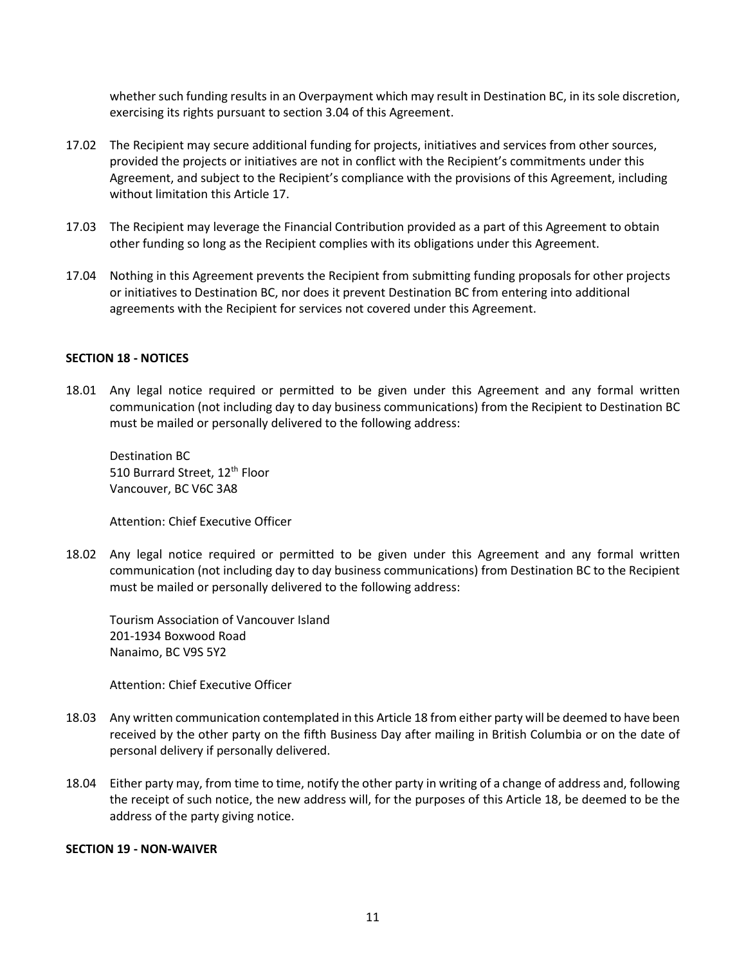whether such funding results in an Overpayment which may result in Destination BC, in its sole discretion, exercising its rights pursuant to section 3.04 of this Agreement.

- 17.02 The Recipient may secure additional funding for projects, initiatives and services from other sources, provided the projects or initiatives are not in conflict with the Recipient's commitments under this Agreement, and subject to the Recipient's compliance with the provisions of this Agreement, including without limitation this Article 17.
- 17.03 The Recipient may leverage the Financial Contribution provided as a part of this Agreement to obtain other funding so long as the Recipient complies with its obligations under this Agreement.
- 17.04 Nothing in this Agreement prevents the Recipient from submitting funding proposals for other projects or initiatives to Destination BC, nor does it prevent Destination BC from entering into additional agreements with the Recipient for services not covered under this Agreement.

#### **SECTION 18 - NOTICES**

18.01 Any legal notice required or permitted to be given under this Agreement and any formal written communication (not including day to day business communications) from the Recipient to Destination BC must be mailed or personally delivered to the following address:

Destination BC 510 Burrard Street, 12<sup>th</sup> Floor Vancouver, BC V6C 3A8

Attention: Chief Executive Officer

18.02 Any legal notice required or permitted to be given under this Agreement and any formal written communication (not including day to day business communications) from Destination BC to the Recipient must be mailed or personally delivered to the following address:

Tourism Association of Vancouver Island 201-1934 Boxwood Road Nanaimo, BC V9S 5Y2

Attention: Chief Executive Officer

- 18.03 Any written communication contemplated in this Article 18 from either party will be deemed to have been received by the other party on the fifth Business Day after mailing in British Columbia or on the date of personal delivery if personally delivered.
- 18.04 Either party may, from time to time, notify the other party in writing of a change of address and, following the receipt of such notice, the new address will, for the purposes of this Article 18, be deemed to be the address of the party giving notice.

#### **SECTION 19 - NON-WAIVER**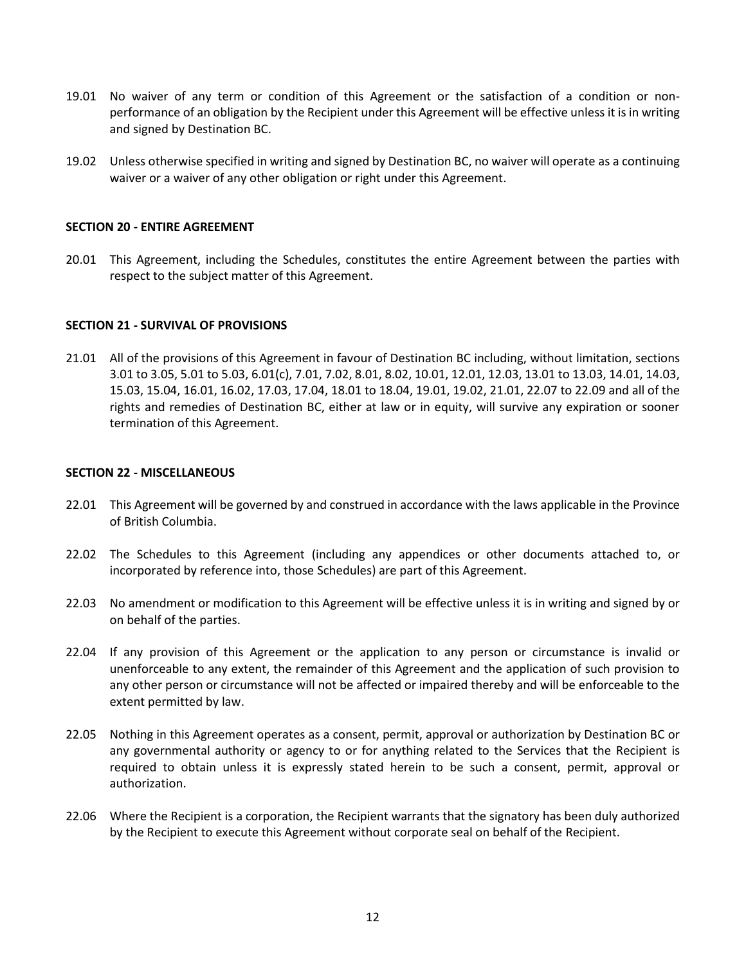- 19.01 No waiver of any term or condition of this Agreement or the satisfaction of a condition or nonperformance of an obligation by the Recipient under this Agreement will be effective unless it is in writing and signed by Destination BC.
- 19.02 Unless otherwise specified in writing and signed by Destination BC, no waiver will operate as a continuing waiver or a waiver of any other obligation or right under this Agreement.

#### **SECTION 20 - ENTIRE AGREEMENT**

20.01 This Agreement, including the Schedules, constitutes the entire Agreement between the parties with respect to the subject matter of this Agreement.

#### **SECTION 21 - SURVIVAL OF PROVISIONS**

21.01 All of the provisions of this Agreement in favour of Destination BC including, without limitation, sections 3.01 to 3.05, 5.01 to 5.03, 6.01(c), 7.01, 7.02, 8.01, 8.02, 10.01, 12.01, 12.03, 13.01 to 13.03, 14.01, 14.03, 15.03, 15.04, 16.01, 16.02, 17.03, 17.04, 18.01 to 18.04, 19.01, 19.02, 21.01, 22.07 to 22.09 and all of the rights and remedies of Destination BC, either at law or in equity, will survive any expiration or sooner termination of this Agreement.

#### **SECTION 22 - MISCELLANEOUS**

- 22.01 This Agreement will be governed by and construed in accordance with the laws applicable in the Province of British Columbia.
- 22.02 The Schedules to this Agreement (including any appendices or other documents attached to, or incorporated by reference into, those Schedules) are part of this Agreement.
- 22.03 No amendment or modification to this Agreement will be effective unless it is in writing and signed by or on behalf of the parties.
- 22.04 If any provision of this Agreement or the application to any person or circumstance is invalid or unenforceable to any extent, the remainder of this Agreement and the application of such provision to any other person or circumstance will not be affected or impaired thereby and will be enforceable to the extent permitted by law.
- 22.05 Nothing in this Agreement operates as a consent, permit, approval or authorization by Destination BC or any governmental authority or agency to or for anything related to the Services that the Recipient is required to obtain unless it is expressly stated herein to be such a consent, permit, approval or authorization.
- 22.06 Where the Recipient is a corporation, the Recipient warrants that the signatory has been duly authorized by the Recipient to execute this Agreement without corporate seal on behalf of the Recipient.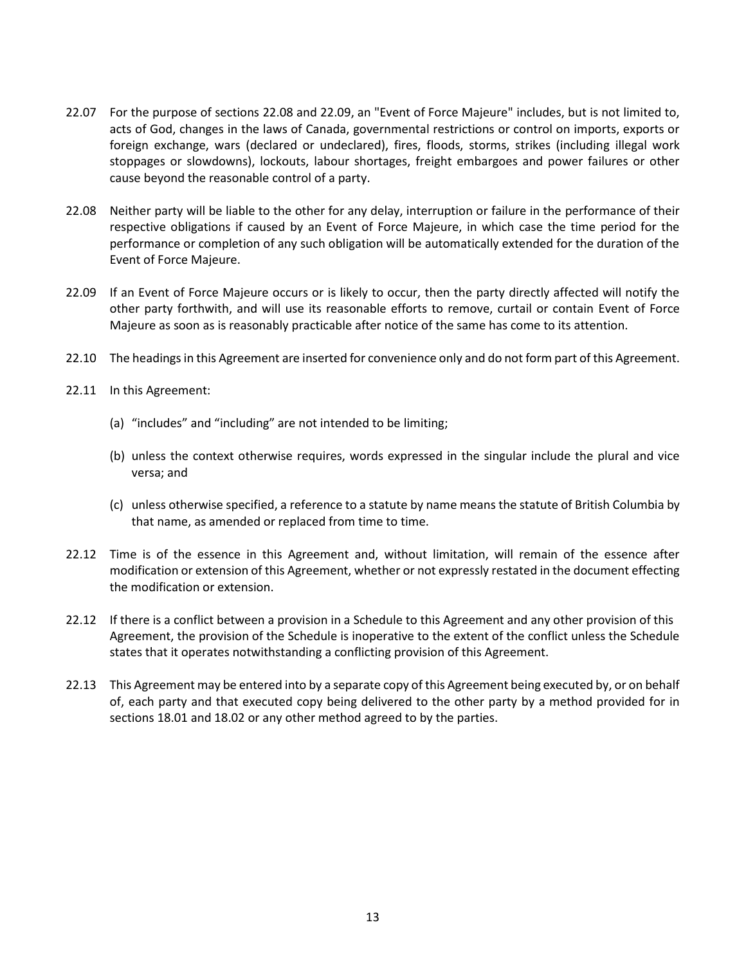- 22.07 For the purpose of sections 22.08 and 22.09, an "Event of Force Majeure" includes, but is not limited to, acts of God, changes in the laws of Canada, governmental restrictions or control on imports, exports or foreign exchange, wars (declared or undeclared), fires, floods, storms, strikes (including illegal work stoppages or slowdowns), lockouts, labour shortages, freight embargoes and power failures or other cause beyond the reasonable control of a party.
- 22.08 Neither party will be liable to the other for any delay, interruption or failure in the performance of their respective obligations if caused by an Event of Force Majeure, in which case the time period for the performance or completion of any such obligation will be automatically extended for the duration of the Event of Force Majeure.
- 22.09 If an Event of Force Majeure occurs or is likely to occur, then the party directly affected will notify the other party forthwith, and will use its reasonable efforts to remove, curtail or contain Event of Force Majeure as soon as is reasonably practicable after notice of the same has come to its attention.
- 22.10 The headings in this Agreement are inserted for convenience only and do not form part of this Agreement.
- 22.11 In this Agreement:
	- (a) "includes" and "including" are not intended to be limiting;
	- (b) unless the context otherwise requires, words expressed in the singular include the plural and vice versa; and
	- (c) unless otherwise specified, a reference to a statute by name means the statute of British Columbia by that name, as amended or replaced from time to time.
- 22.12 Time is of the essence in this Agreement and, without limitation, will remain of the essence after modification or extension of this Agreement, whether or not expressly restated in the document effecting the modification or extension.
- 22.12 If there is a conflict between a provision in a Schedule to this Agreement and any other provision of this Agreement, the provision of the Schedule is inoperative to the extent of the conflict unless the Schedule states that it operates notwithstanding a conflicting provision of this Agreement.
- 22.13 This Agreement may be entered into by a separate copy of this Agreement being executed by, or on behalf of, each party and that executed copy being delivered to the other party by a method provided for in sections 18.01 and 18.02 or any other method agreed to by the parties.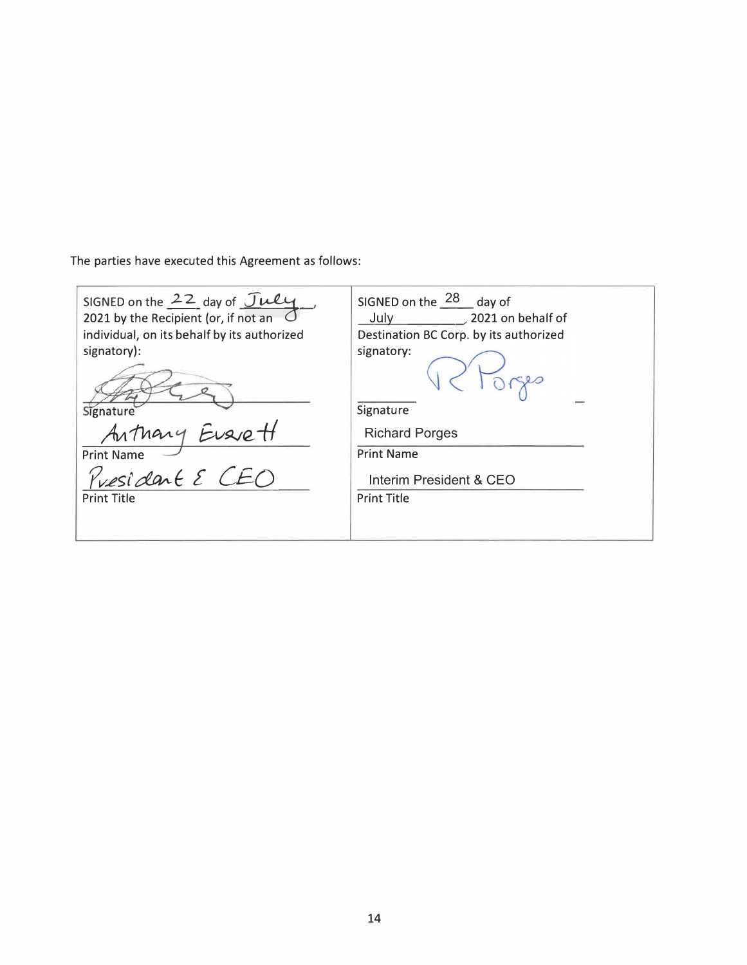The parties have executed this Agreement as follows:

| SIGNED on the $22$ day of July<br>2021 by the Recipient (or, if not an | SIGNED on the $28$ day of              |  |  |  |
|------------------------------------------------------------------------|----------------------------------------|--|--|--|
|                                                                        | $\approx$ 2021 on behalf of<br>July    |  |  |  |
| individual, on its behalf by its authorized                            | Destination BC Corp. by its authorized |  |  |  |
| signatory):                                                            | signatory:                             |  |  |  |
| Signature                                                              | Signature                              |  |  |  |
| Arthary Eusiett                                                        | <b>Richard Porges</b>                  |  |  |  |
| <b>Print Name</b>                                                      | <b>Print Name</b>                      |  |  |  |
| President & CEO                                                        | Interim President & CEO                |  |  |  |
| <b>Print Title</b>                                                     | <b>Print Title</b>                     |  |  |  |
|                                                                        |                                        |  |  |  |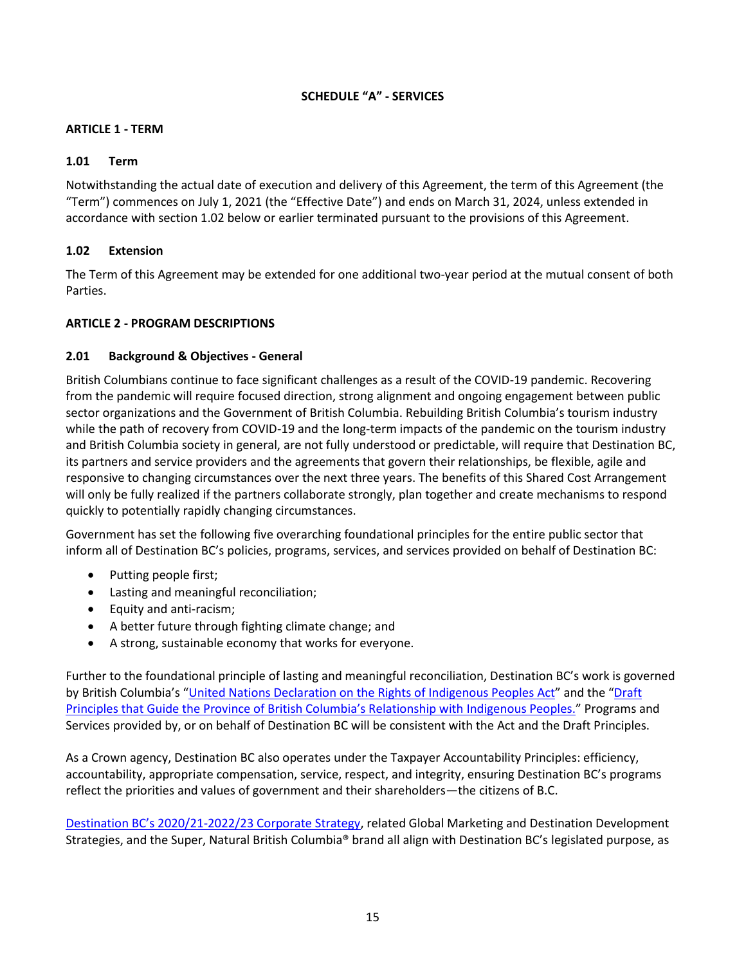# **SCHEDULE "A" - SERVICES**

# **ARTICLE 1 - TERM**

## **1.01 Term**

Notwithstanding the actual date of execution and delivery of this Agreement, the term of this Agreement (the "Term") commences on July 1, 2021 (the "Effective Date") and ends on March 31, 2024, unless extended in accordance with section 1.02 below or earlier terminated pursuant to the provisions of this Agreement.

# **1.02 Extension**

The Term of this Agreement may be extended for one additional two-year period at the mutual consent of both Parties.

## **ARTICLE 2 - PROGRAM DESCRIPTIONS**

## **2.01 Background & Objectives - General**

British Columbians continue to face significant challenges as a result of the COVID-19 pandemic. Recovering from the pandemic will require focused direction, strong alignment and ongoing engagement between public sector organizations and the Government of British Columbia. Rebuilding British Columbia's tourism industry while the path of recovery from COVID-19 and the long-term impacts of the pandemic on the tourism industry and British Columbia society in general, are not fully understood or predictable, will require that Destination BC, its partners and service providers and the agreements that govern their relationships, be flexible, agile and responsive to changing circumstances over the next three years. The benefits of this Shared Cost Arrangement will only be fully realized if the partners collaborate strongly, plan together and create mechanisms to respond quickly to potentially rapidly changing circumstances.

Government has set the following five overarching foundational principles for the entire public sector that inform all of Destination BC's policies, programs, services, and services provided on behalf of Destination BC:

- Putting people first;
- Lasting and meaningful reconciliation;
- Equity and anti-racism;
- A better future through fighting climate change; and
- A strong, sustainable economy that works for everyone.

Further to the foundational principle of lasting and meaningful reconciliation, Destination BC's work is governed by British Columbia's "United Nations Declaration [on the Rights of Indigenous Peoples Act](https://www.leg.bc.ca/parliamentary-business/legislation-debates-proceedings/41st-parliament/4th-session/bills/first-reading/gov41-1)" and the "Draft [Principles that Guide the Province of British Columbia's Relationship with](https://www2.gov.bc.ca/assets/gov/careers/about-the-bc-public-service/diversity-inclusion-respect/draft_principles.pdf) Indigenous Peoples." Programs and Services provided by, or on behalf of Destination BC will be consistent with the Act and the Draft Principles.

As a Crown agency, Destination BC also operates under the Taxpayer Accountability Principles: efficiency, accountability, appropriate compensation, service, respect, and integrity, ensuring Destination BC's programs reflect the priorities and values of government and their shareholders—the citizens of B.C.

Destination BC's 2020/21[-2022/23 Corporate Strategy,](https://www.destinationbc.ca/content/uploads/2021/03/CorporateStrategy2020-2023_March2021_Update-March-9.pdf) related Global Marketing and Destination Development Strategies, and the Super, Natural British Columbia® brand all align with Destination BC's legislated purpose, as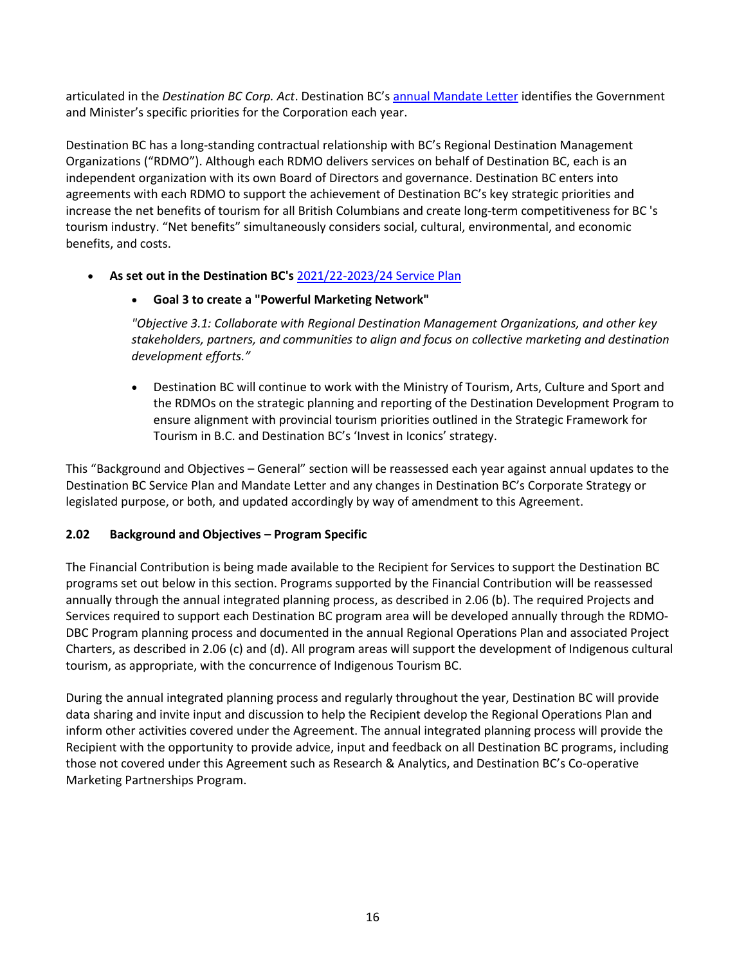articulated in the *Destination BC Corp. Act*. Destination BC's [annual Mandate Letter](https://www.destinationbc.ca/content/uploads/2021/06/2021-22DBCMandateLetter-Signed_Final.pdf) identifies the Government and Minister's specific priorities for the Corporation each year.

Destination BC has a long-standing contractual relationship with BC's Regional Destination Management Organizations ("RDMO"). Although each RDMO delivers services on behalf of Destination BC, each is an independent organization with its own Board of Directors and governance. Destination BC enters into agreements with each RDMO to support the achievement of Destination BC's key strategic priorities and increase the net benefits of tourism for all British Columbians and create long-term competitiveness for BC 's tourism industry. "Net benefits" simultaneously considers social, cultural, environmental, and economic benefits, and costs.

• **As set out in the Destination BC's** [2021/22-2023/24 Service Plan](https://www.destinationbc.ca/content/uploads/2021/04/2021-22DBCService-Plan_Final.pdf)

# • **Goal 3 to create a "Powerful Marketing Network"**

*"Objective 3.1: Collaborate with Regional Destination Management Organizations, and other key stakeholders, partners, and communities to align and focus on collective marketing and destination development efforts."*

• Destination BC will continue to work with the Ministry of Tourism, Arts, Culture and Sport and the RDMOs on the strategic planning and reporting of the Destination Development Program to ensure alignment with provincial tourism priorities outlined in the Strategic Framework for Tourism in B.C. and Destination BC's 'Invest in Iconics' strategy.

This "Background and Objectives – General" section will be reassessed each year against annual updates to the Destination BC Service Plan and Mandate Letter and any changes in Destination BC's Corporate Strategy or legislated purpose, or both, and updated accordingly by way of amendment to this Agreement.

# **2.02 Background and Objectives – Program Specific**

The Financial Contribution is being made available to the Recipient for Services to support the Destination BC programs set out below in this section. Programs supported by the Financial Contribution will be reassessed annually through the annual integrated planning process, as described in 2.06 (b). The required Projects and Services required to support each Destination BC program area will be developed annually through the RDMO-DBC Program planning process and documented in the annual Regional Operations Plan and associated Project Charters, as described in 2.06 (c) and (d). All program areas will support the development of Indigenous cultural tourism, as appropriate, with the concurrence of Indigenous Tourism BC.

During the annual integrated planning process and regularly throughout the year, Destination BC will provide data sharing and invite input and discussion to help the Recipient develop the Regional Operations Plan and inform other activities covered under the Agreement. The annual integrated planning process will provide the Recipient with the opportunity to provide advice, input and feedback on all Destination BC programs, including those not covered under this Agreement such as Research & Analytics, and Destination BC's Co-operative Marketing Partnerships Program.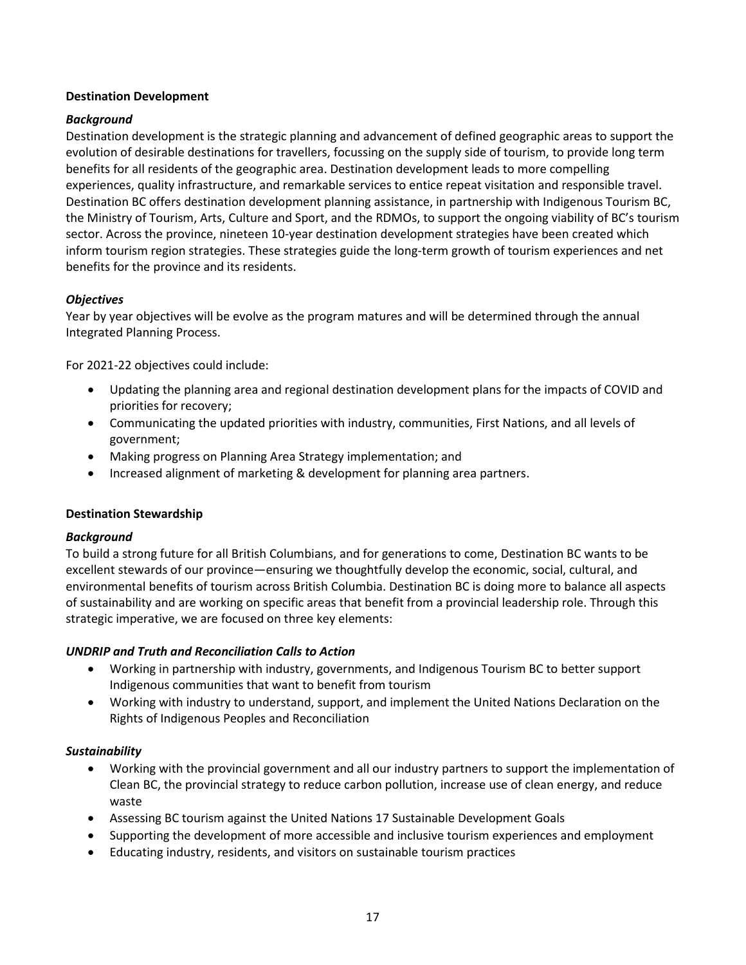## **Destination Development**

# *Background*

Destination development is the strategic planning and advancement of defined geographic areas to support the evolution of desirable destinations for travellers, focussing on the supply side of tourism, to provide long term benefits for all residents of the geographic area. Destination development leads to more compelling experiences, quality infrastructure, and remarkable services to entice repeat visitation and responsible travel. Destination BC offers destination development planning assistance, in partnership with Indigenous Tourism BC, the Ministry of Tourism, Arts, Culture and Sport, and the RDMOs, to support the ongoing viability of BC's tourism sector. Across the province, nineteen 10-year destination development strategies have been created which inform tourism region strategies. These strategies guide the long-term growth of tourism experiences and net benefits for the province and its residents.

# *Objectives*

Year by year objectives will be evolve as the program matures and will be determined through the annual Integrated Planning Process.

For 2021-22 objectives could include:

- Updating the planning area and regional destination development plans for the impacts of COVID and priorities for recovery;
- Communicating the updated priorities with industry, communities, First Nations, and all levels of government;
- Making progress on Planning Area Strategy implementation; and
- Increased alignment of marketing & development for planning area partners.

## **Destination Stewardship**

## *Background*

To build a strong future for all British Columbians, and for generations to come, Destination BC wants to be excellent stewards of our province—ensuring we thoughtfully develop the economic, social, cultural, and environmental benefits of tourism across British Columbia. Destination BC is doing more to balance all aspects of sustainability and are working on specific areas that benefit from a provincial leadership role. Through this strategic imperative, we are focused on three key elements:

## *UNDRIP and Truth and Reconciliation Calls to Action*

- Working in partnership with industry, governments, and Indigenous Tourism BC to better support Indigenous communities that want to benefit from tourism
- Working with industry to understand, support, and implement the United Nations Declaration on the Rights of Indigenous Peoples and Reconciliation

## *Sustainability*

- Working with the provincial government and all our industry partners to support the implementation of Clean BC, the provincial strategy to reduce carbon pollution, increase use of clean energy, and reduce waste
- Assessing BC tourism against the United Nations 17 Sustainable Development Goals
- Supporting the development of more accessible and inclusive tourism experiences and employment
- Educating industry, residents, and visitors on sustainable tourism practices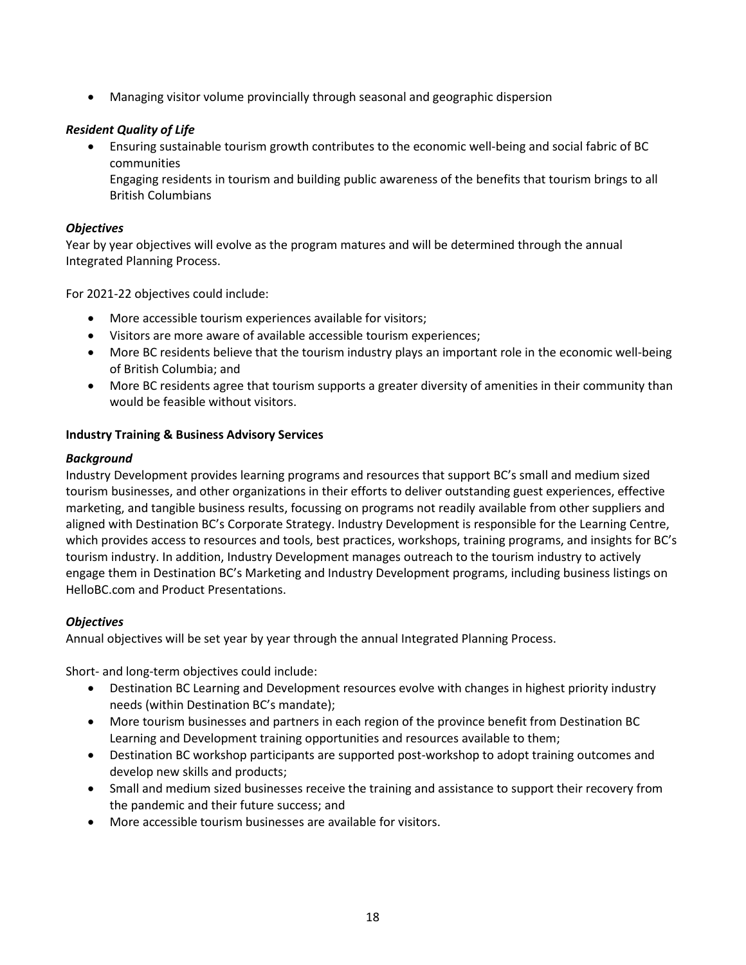• Managing visitor volume provincially through seasonal and geographic dispersion

# *Resident Quality of Life*

• Ensuring sustainable tourism growth contributes to the economic well-being and social fabric of BC communities

Engaging residents in tourism and building public awareness of the benefits that tourism brings to all British Columbians

## *Objectives*

Year by year objectives will evolve as the program matures and will be determined through the annual Integrated Planning Process.

For 2021-22 objectives could include:

- More accessible tourism experiences available for visitors;
- Visitors are more aware of available accessible tourism experiences;
- More BC residents believe that the tourism industry plays an important role in the economic well-being of British Columbia; and
- More BC residents agree that tourism supports a greater diversity of amenities in their community than would be feasible without visitors.

## **Industry Training & Business Advisory Services**

## *Background*

Industry Development provides learning programs and resources that support BC's small and medium sized tourism businesses, and other organizations in their efforts to deliver outstanding guest experiences, effective marketing, and tangible business results, focussing on programs not readily available from other suppliers and aligned with Destination BC's Corporate Strategy. Industry Development is responsible for the Learning Centre, which provides access to resources and tools, best practices, workshops, training programs, and insights for BC's tourism industry. In addition, Industry Development manages outreach to the tourism industry to actively engage them in Destination BC's Marketing and Industry Development programs, including business listings on HelloBC.com and Product Presentations.

## *Objectives*

Annual objectives will be set year by year through the annual Integrated Planning Process.

Short- and long-term objectives could include:

- Destination BC Learning and Development resources evolve with changes in highest priority industry needs (within Destination BC's mandate);
- More tourism businesses and partners in each region of the province benefit from Destination BC Learning and Development training opportunities and resources available to them;
- Destination BC workshop participants are supported post-workshop to adopt training outcomes and develop new skills and products;
- Small and medium sized businesses receive the training and assistance to support their recovery from the pandemic and their future success; and
- More accessible tourism businesses are available for visitors.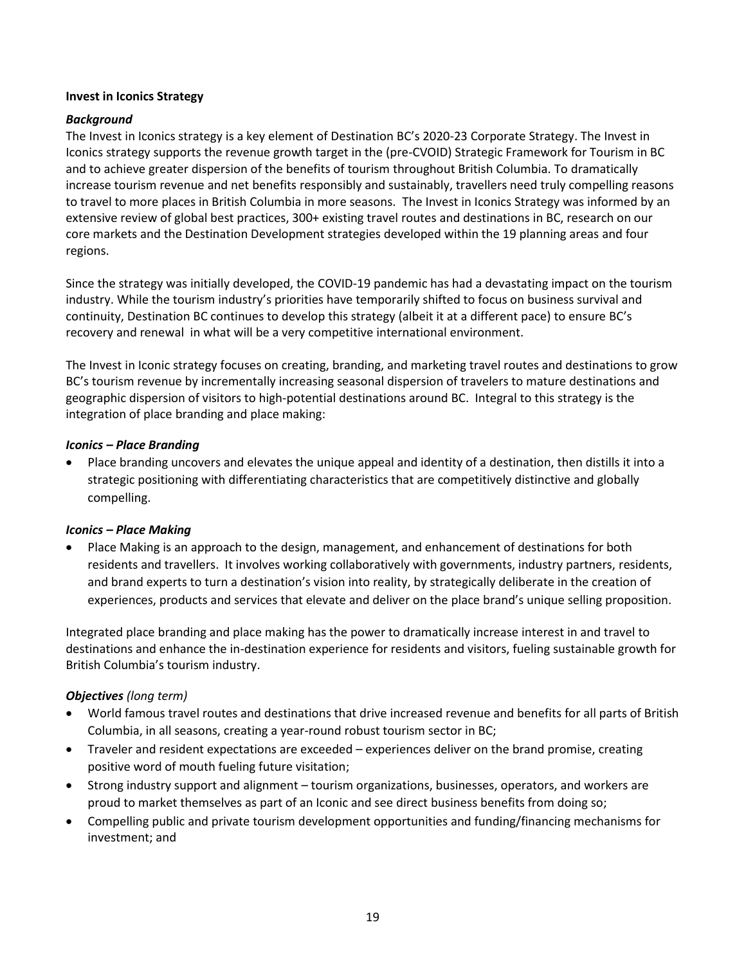## **Invest in Iconics Strategy**

# *Background*

The Invest in Iconics strategy is a key element of Destination BC's 2020-23 Corporate Strategy. The Invest in Iconics strategy supports the revenue growth target in the (pre-CVOID) Strategic Framework for Tourism in BC and to achieve greater dispersion of the benefits of tourism throughout British Columbia. To dramatically increase tourism revenue and net benefits responsibly and sustainably, travellers need truly compelling reasons to travel to more places in British Columbia in more seasons. The Invest in Iconics Strategy was informed by an extensive review of global best practices, 300+ existing travel routes and destinations in BC, research on our core markets and the Destination Development strategies developed within the 19 planning areas and four regions.

Since the strategy was initially developed, the COVID-19 pandemic has had a devastating impact on the tourism industry. While the tourism industry's priorities have temporarily shifted to focus on business survival and continuity, Destination BC continues to develop this strategy (albeit it at a different pace) to ensure BC's recovery and renewal in what will be a very competitive international environment.

The Invest in Iconic strategy focuses on creating, branding, and marketing travel routes and destinations to grow BC's tourism revenue by incrementally increasing seasonal dispersion of travelers to mature destinations and geographic dispersion of visitors to high-potential destinations around BC. Integral to this strategy is the integration of place branding and place making:

## *Iconics – Place Branding*

• Place branding uncovers and elevates the unique appeal and identity of a destination, then distills it into a strategic positioning with differentiating characteristics that are competitively distinctive and globally compelling.

## *Iconics – Place Making*

• Place Making is an approach to the design, management, and enhancement of destinations for both residents and travellers. It involves working collaboratively with governments, industry partners, residents, and brand experts to turn a destination's vision into reality, by strategically deliberate in the creation of experiences, products and services that elevate and deliver on the place brand's unique selling proposition.

Integrated place branding and place making has the power to dramatically increase interest in and travel to destinations and enhance the in-destination experience for residents and visitors, fueling sustainable growth for British Columbia's tourism industry.

## *Objectives (long term)*

- World famous travel routes and destinations that drive increased revenue and benefits for all parts of British Columbia, in all seasons, creating a year-round robust tourism sector in BC;
- Traveler and resident expectations are exceeded experiences deliver on the brand promise, creating positive word of mouth fueling future visitation;
- Strong industry support and alignment tourism organizations, businesses, operators, and workers are proud to market themselves as part of an Iconic and see direct business benefits from doing so;
- Compelling public and private tourism development opportunities and funding/financing mechanisms for investment; and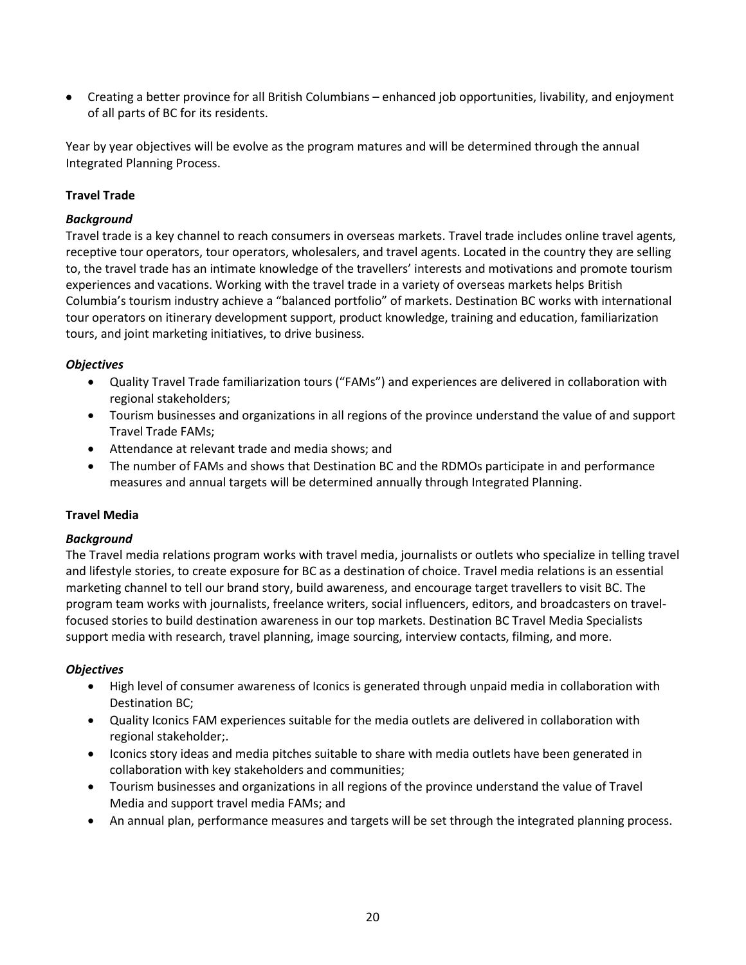• Creating a better province for all British Columbians – enhanced job opportunities, livability, and enjoyment of all parts of BC for its residents.

Year by year objectives will be evolve as the program matures and will be determined through the annual Integrated Planning Process.

# **Travel Trade**

## *Background*

Travel trade is a key channel to reach consumers in overseas markets. Travel trade includes online travel agents, receptive tour operators, tour operators, wholesalers, and travel agents. Located in the country they are selling to, the travel trade has an intimate knowledge of the travellers' interests and motivations and promote tourism experiences and vacations. Working with the travel trade in a variety of overseas markets helps British Columbia's tourism industry achieve a "balanced portfolio" of markets. Destination BC works with international tour operators on itinerary development support, product knowledge, training and education, familiarization tours, and joint marketing initiatives, to drive business.

#### *Objectives*

- Quality Travel Trade familiarization tours ("FAMs") and experiences are delivered in collaboration with regional stakeholders;
- Tourism businesses and organizations in all regions of the province understand the value of and support Travel Trade FAMs;
- Attendance at relevant trade and media shows; and
- The number of FAMs and shows that Destination BC and the RDMOs participate in and performance measures and annual targets will be determined annually through Integrated Planning.

## **Travel Media**

## *Background*

The Travel media relations program works with travel media, journalists or outlets who specialize in telling travel and lifestyle stories, to create exposure for BC as a destination of choice. Travel media relations is an essential marketing channel to tell our brand story, build awareness, and encourage target travellers to visit BC. The program team works with journalists, freelance writers, social influencers, editors, and broadcasters on travelfocused stories to build destination awareness in our top markets. Destination BC Travel Media Specialists support media with research, travel planning, image sourcing, interview contacts, filming, and more.

## *Objectives*

- High level of consumer awareness of Iconics is generated through unpaid media in collaboration with Destination BC;
- Quality Iconics FAM experiences suitable for the media outlets are delivered in collaboration with regional stakeholder;.
- Iconics story ideas and media pitches suitable to share with media outlets have been generated in collaboration with key stakeholders and communities;
- Tourism businesses and organizations in all regions of the province understand the value of Travel Media and support travel media FAMs; and
- An annual plan, performance measures and targets will be set through the integrated planning process.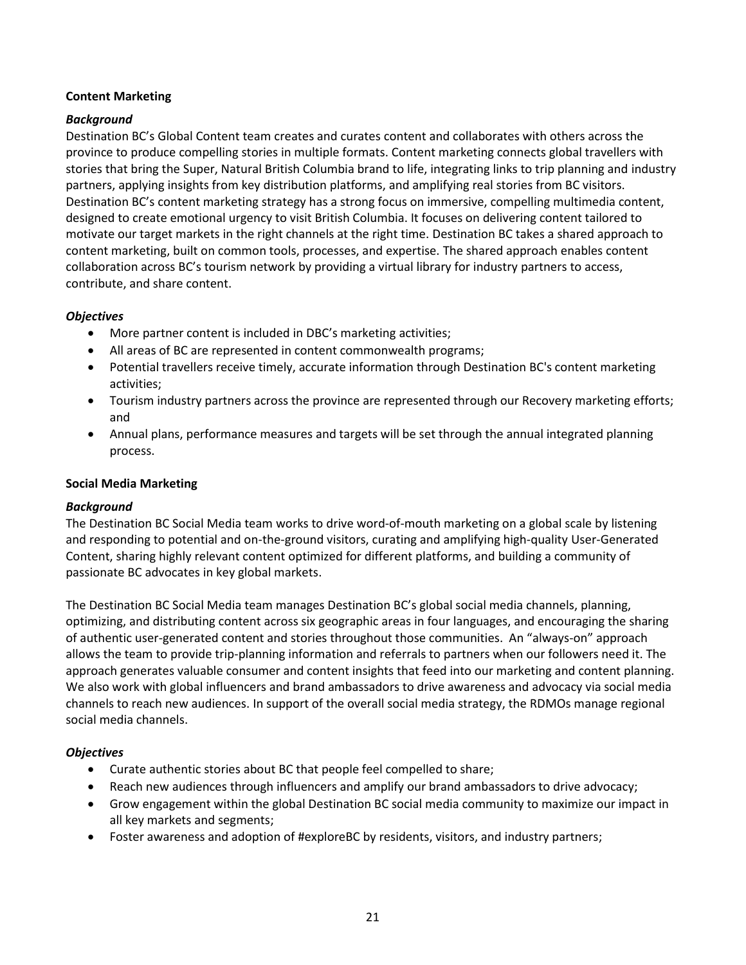# **Content Marketing**

# *Background*

Destination BC's Global Content team creates and curates content and collaborates with others across the province to produce compelling stories in multiple formats. Content marketing connects global travellers with stories that bring the Super, Natural British Columbia brand to life, integrating links to trip planning and industry partners, applying insights from key distribution platforms, and amplifying real stories from BC visitors. Destination BC's content marketing strategy has a strong focus on immersive, compelling multimedia content, designed to create emotional urgency to visit British Columbia. It focuses on delivering content tailored to motivate our target markets in the right channels at the right time. Destination BC takes a shared approach to content marketing, built on common tools, processes, and expertise. The shared approach enables content collaboration across BC's tourism network by providing a virtual library for industry partners to access, contribute, and share content.

# *Objectives*

- More partner content is included in DBC's marketing activities;
- All areas of BC are represented in content commonwealth programs;
- Potential travellers receive timely, accurate information through Destination BC's content marketing activities;
- Tourism industry partners across the province are represented through our Recovery marketing efforts; and
- Annual plans, performance measures and targets will be set through the annual integrated planning process.

## **Social Media Marketing**

## *Background*

The Destination BC Social Media team works to drive word-of-mouth marketing on a global scale by listening and responding to potential and on-the-ground visitors, curating and amplifying high-quality User-Generated Content, sharing highly relevant content optimized for different platforms, and building a community of passionate BC advocates in key global markets.

The Destination BC Social Media team manages Destination BC's global social media channels, planning, optimizing, and distributing content across six geographic areas in four languages, and encouraging the sharing of authentic user-generated content and stories throughout those communities. An "always-on" approach allows the team to provide trip-planning information and referrals to partners when our followers need it. The approach generates valuable consumer and content insights that feed into our marketing and content planning. We also work with global influencers and brand ambassadors to drive awareness and advocacy via social media channels to reach new audiences. In support of the overall social media strategy, the RDMOs manage regional social media channels.

# *Objectives*

- Curate authentic stories about BC that people feel compelled to share;
- Reach new audiences through influencers and amplify our brand ambassadors to drive advocacy;
- Grow engagement within the global Destination BC social media community to maximize our impact in all key markets and segments;
- Foster awareness and adoption of #exploreBC by residents, visitors, and industry partners;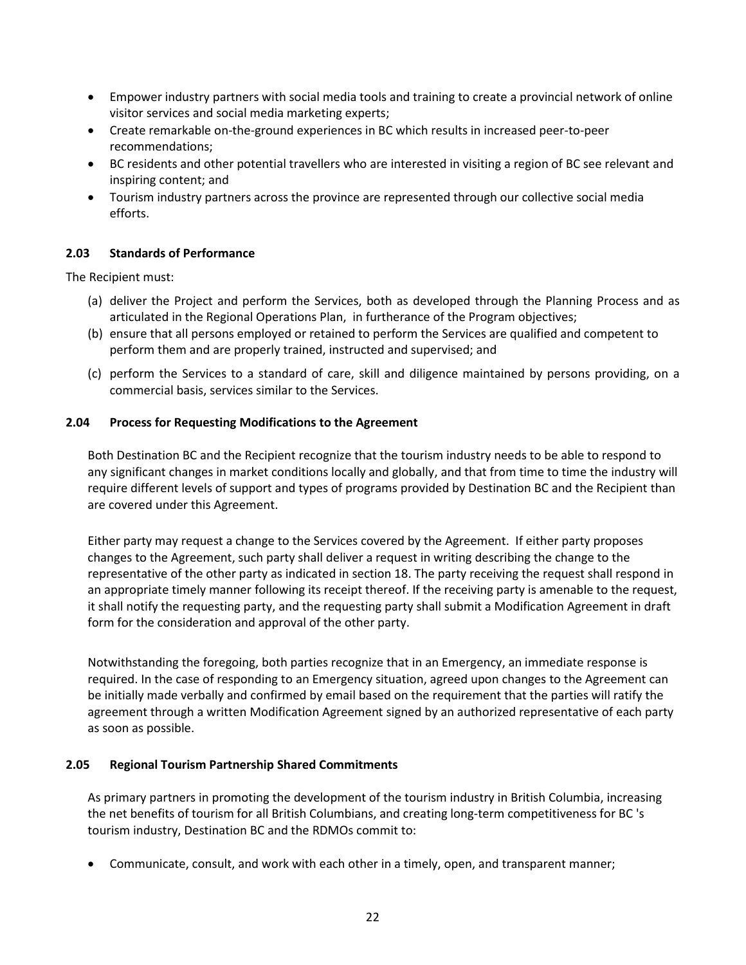- Empower industry partners with social media tools and training to create a provincial network of online visitor services and social media marketing experts;
- Create remarkable on-the-ground experiences in BC which results in increased peer-to-peer recommendations;
- BC residents and other potential travellers who are interested in visiting a region of BC see relevant and inspiring content; and
- Tourism industry partners across the province are represented through our collective social media efforts.

# **2.03 Standards of Performance**

The Recipient must:

- (a) deliver the Project and perform the Services, both as developed through the Planning Process and as articulated in the Regional Operations Plan, in furtherance of the Program objectives;
- (b) ensure that all persons employed or retained to perform the Services are qualified and competent to perform them and are properly trained, instructed and supervised; and
- (c) perform the Services to a standard of care, skill and diligence maintained by persons providing, on a commercial basis, services similar to the Services.

# **2.04 Process for Requesting Modifications to the Agreement**

Both Destination BC and the Recipient recognize that the tourism industry needs to be able to respond to any significant changes in market conditions locally and globally, and that from time to time the industry will require different levels of support and types of programs provided by Destination BC and the Recipient than are covered under this Agreement.

Either party may request a change to the Services covered by the Agreement. If either party proposes changes to the Agreement, such party shall deliver a request in writing describing the change to the representative of the other party as indicated in section 18. The party receiving the request shall respond in an appropriate timely manner following its receipt thereof. If the receiving party is amenable to the request, it shall notify the requesting party, and the requesting party shall submit a Modification Agreement in draft form for the consideration and approval of the other party.

Notwithstanding the foregoing, both parties recognize that in an Emergency, an immediate response is required. In the case of responding to an Emergency situation, agreed upon changes to the Agreement can be initially made verbally and confirmed by email based on the requirement that the parties will ratify the agreement through a written Modification Agreement signed by an authorized representative of each party as soon as possible.

## **2.05 Regional Tourism Partnership Shared Commitments**

As primary partners in promoting the development of the tourism industry in British Columbia, increasing the net benefits of tourism for all British Columbians, and creating long-term competitiveness for BC 's tourism industry, Destination BC and the RDMOs commit to:

• Communicate, consult, and work with each other in a timely, open, and transparent manner;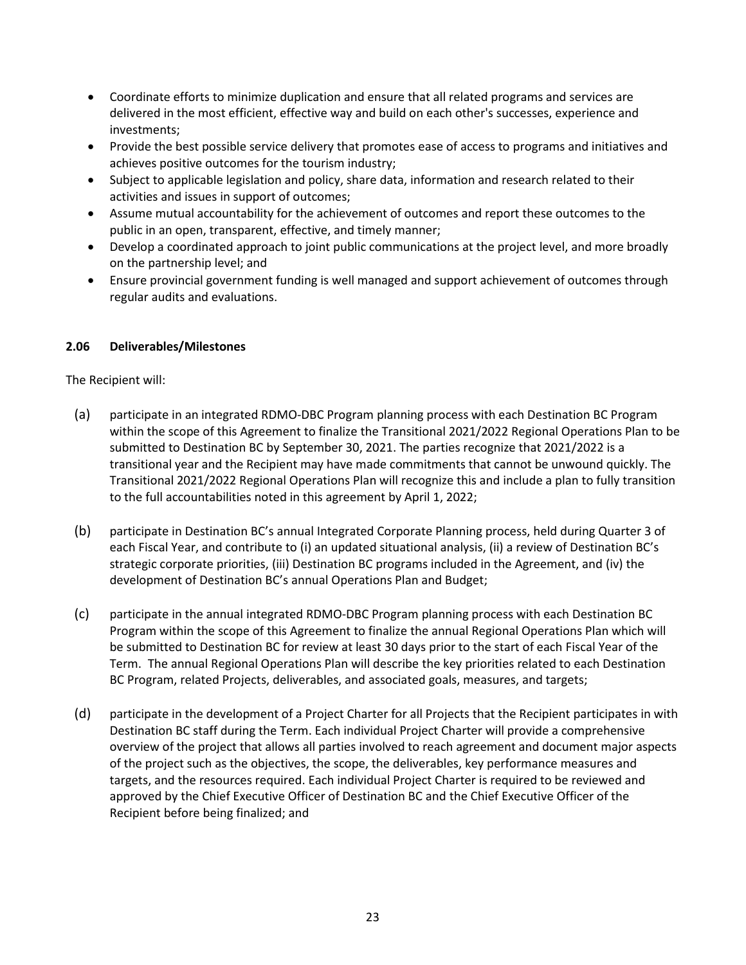- Coordinate efforts to minimize duplication and ensure that all related programs and services are delivered in the most efficient, effective way and build on each other's successes, experience and investments;
- Provide the best possible service delivery that promotes ease of access to programs and initiatives and achieves positive outcomes for the tourism industry;
- Subject to applicable legislation and policy, share data, information and research related to their activities and issues in support of outcomes;
- Assume mutual accountability for the achievement of outcomes and report these outcomes to the public in an open, transparent, effective, and timely manner;
- Develop a coordinated approach to joint public communications at the project level, and more broadly on the partnership level; and
- Ensure provincial government funding is well managed and support achievement of outcomes through regular audits and evaluations.

# **2.06 Deliverables/Milestones**

The Recipient will:

- (a) participate in an integrated RDMO-DBC Program planning process with each Destination BC Program within the scope of this Agreement to finalize the Transitional 2021/2022 Regional Operations Plan to be submitted to Destination BC by September 30, 2021. The parties recognize that 2021/2022 is a transitional year and the Recipient may have made commitments that cannot be unwound quickly. The Transitional 2021/2022 Regional Operations Plan will recognize this and include a plan to fully transition to the full accountabilities noted in this agreement by April 1, 2022;
- (b) participate in Destination BC's annual Integrated Corporate Planning process, held during Quarter 3 of each Fiscal Year, and contribute to (i) an updated situational analysis, (ii) a review of Destination BC's strategic corporate priorities, (iii) Destination BC programs included in the Agreement, and (iv) the development of Destination BC's annual Operations Plan and Budget;
- (c) participate in the annual integrated RDMO-DBC Program planning process with each Destination BC Program within the scope of this Agreement to finalize the annual Regional Operations Plan which will be submitted to Destination BC for review at least 30 days prior to the start of each Fiscal Year of the Term. The annual Regional Operations Plan will describe the key priorities related to each Destination BC Program, related Projects, deliverables, and associated goals, measures, and targets;
- (d) participate in the development of a Project Charter for all Projects that the Recipient participates in with Destination BC staff during the Term. Each individual Project Charter will provide a comprehensive overview of the project that allows all parties involved to reach agreement and document major aspects of the project such as the objectives, the scope, the deliverables, key performance measures and targets, and the resources required. Each individual Project Charter is required to be reviewed and approved by the Chief Executive Officer of Destination BC and the Chief Executive Officer of the Recipient before being finalized; and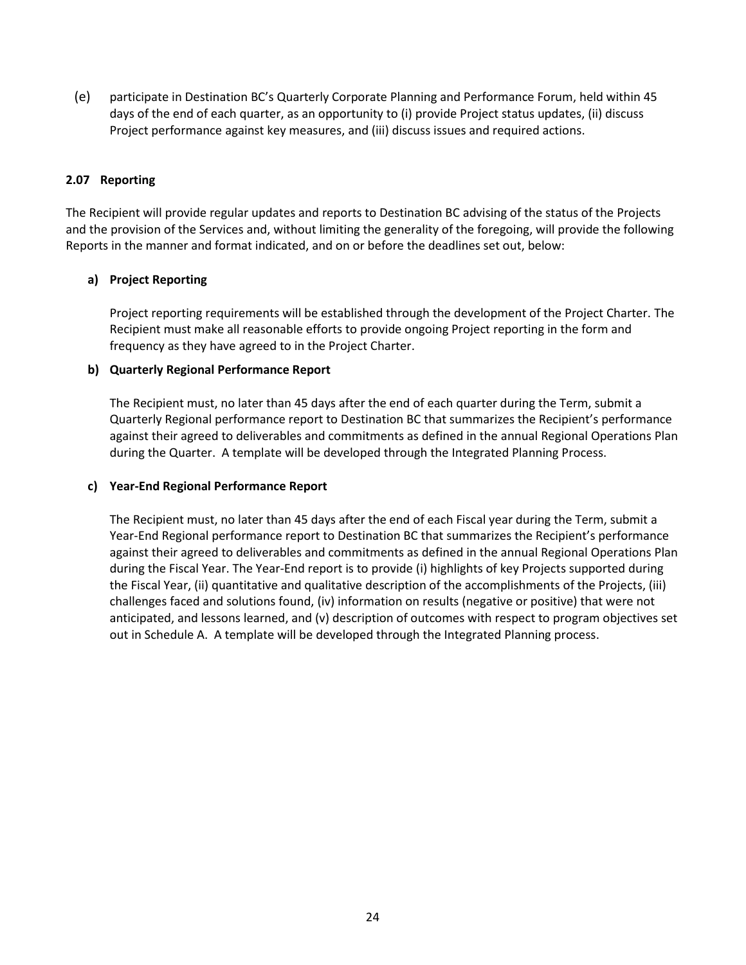(e) participate in Destination BC's Quarterly Corporate Planning and Performance Forum, held within 45 days of the end of each quarter, as an opportunity to (i) provide Project status updates, (ii) discuss Project performance against key measures, and (iii) discuss issues and required actions.

#### **2.07 Reporting**

The Recipient will provide regular updates and reports to Destination BC advising of the status of the Projects and the provision of the Services and, without limiting the generality of the foregoing, will provide the following Reports in the manner and format indicated, and on or before the deadlines set out, below:

## **a) Project Reporting**

Project reporting requirements will be established through the development of the Project Charter. The Recipient must make all reasonable efforts to provide ongoing Project reporting in the form and frequency as they have agreed to in the Project Charter.

#### **b) Quarterly Regional Performance Report**

The Recipient must, no later than 45 days after the end of each quarter during the Term, submit a Quarterly Regional performance report to Destination BC that summarizes the Recipient's performance against their agreed to deliverables and commitments as defined in the annual Regional Operations Plan during the Quarter. A template will be developed through the Integrated Planning Process.

#### **c) Year-End Regional Performance Report**

The Recipient must, no later than 45 days after the end of each Fiscal year during the Term, submit a Year-End Regional performance report to Destination BC that summarizes the Recipient's performance against their agreed to deliverables and commitments as defined in the annual Regional Operations Plan during the Fiscal Year. The Year-End report is to provide (i) highlights of key Projects supported during the Fiscal Year, (ii) quantitative and qualitative description of the accomplishments of the Projects, (iii) challenges faced and solutions found, (iv) information on results (negative or positive) that were not anticipated, and lessons learned, and (v) description of outcomes with respect to program objectives set out in Schedule A. A template will be developed through the Integrated Planning process.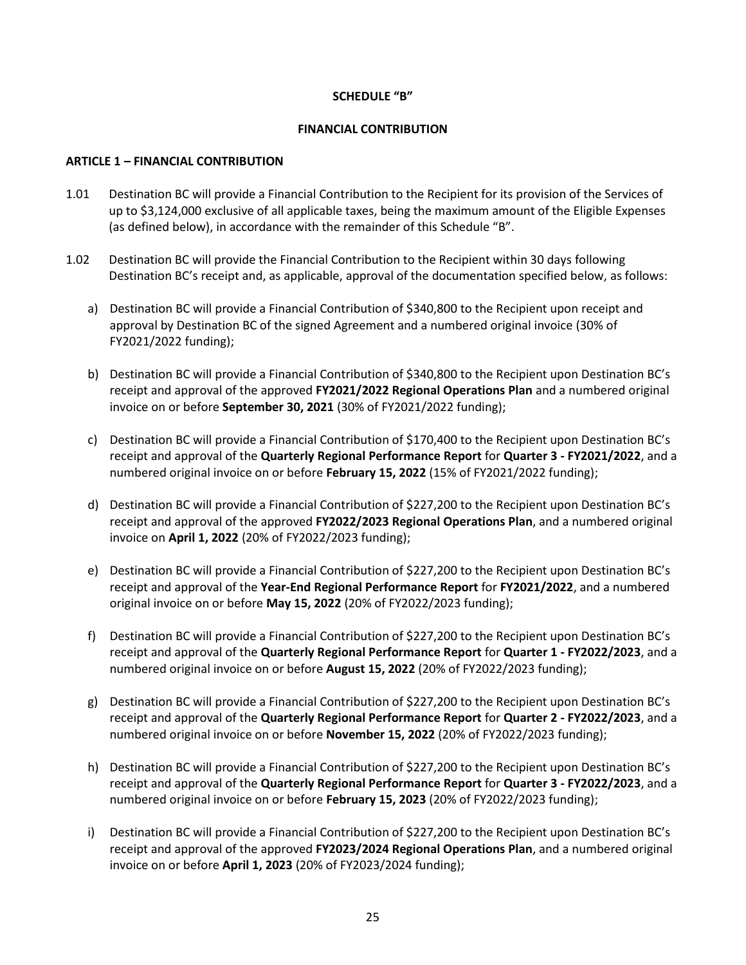#### **SCHEDULE "B"**

#### **FINANCIAL CONTRIBUTION**

#### **ARTICLE 1 – FINANCIAL CONTRIBUTION**

- 1.01 Destination BC will provide a Financial Contribution to the Recipient for its provision of the Services of up to \$3,124,000 exclusive of all applicable taxes, being the maximum amount of the Eligible Expenses (as defined below), in accordance with the remainder of this Schedule "B".
- 1.02 Destination BC will provide the Financial Contribution to the Recipient within 30 days following Destination BC's receipt and, as applicable, approval of the documentation specified below, as follows:
	- a) Destination BC will provide a Financial Contribution of \$340,800 to the Recipient upon receipt and approval by Destination BC of the signed Agreement and a numbered original invoice (30% of FY2021/2022 funding);
	- b) Destination BC will provide a Financial Contribution of \$340,800 to the Recipient upon Destination BC's receipt and approval of the approved **FY2021/2022 Regional Operations Plan** and a numbered original invoice on or before **September 30, 2021** (30% of FY2021/2022 funding);
	- c) Destination BC will provide a Financial Contribution of \$170,400 to the Recipient upon Destination BC's receipt and approval of the **Quarterly Regional Performance Report** for **Quarter 3 - FY2021/2022**, and a numbered original invoice on or before **February 15, 2022** (15% of FY2021/2022 funding);
	- d) Destination BC will provide a Financial Contribution of \$227,200 to the Recipient upon Destination BC's receipt and approval of the approved **FY2022/2023 Regional Operations Plan**, and a numbered original invoice on **April 1, 2022** (20% of FY2022/2023 funding);
	- e) Destination BC will provide a Financial Contribution of \$227,200 to the Recipient upon Destination BC's receipt and approval of the **Year-End Regional Performance Report** for **FY2021/2022**, and a numbered original invoice on or before **May 15, 2022** (20% of FY2022/2023 funding);
	- f) Destination BC will provide a Financial Contribution of \$227,200 to the Recipient upon Destination BC's receipt and approval of the **Quarterly Regional Performance Report** for **Quarter 1 - FY2022/2023**, and a numbered original invoice on or before **August 15, 2022** (20% of FY2022/2023 funding);
	- g) Destination BC will provide a Financial Contribution of \$227,200 to the Recipient upon Destination BC's receipt and approval of the **Quarterly Regional Performance Report** for **Quarter 2 - FY2022/2023**, and a numbered original invoice on or before **November 15, 2022** (20% of FY2022/2023 funding);
	- h) Destination BC will provide a Financial Contribution of \$227,200 to the Recipient upon Destination BC's receipt and approval of the **Quarterly Regional Performance Report** for **Quarter 3 - FY2022/2023**, and a numbered original invoice on or before **February 15, 2023** (20% of FY2022/2023 funding);
	- i) Destination BC will provide a Financial Contribution of \$227,200 to the Recipient upon Destination BC's receipt and approval of the approved **FY2023/2024 Regional Operations Plan**, and a numbered original invoice on or before **April 1, 2023** (20% of FY2023/2024 funding);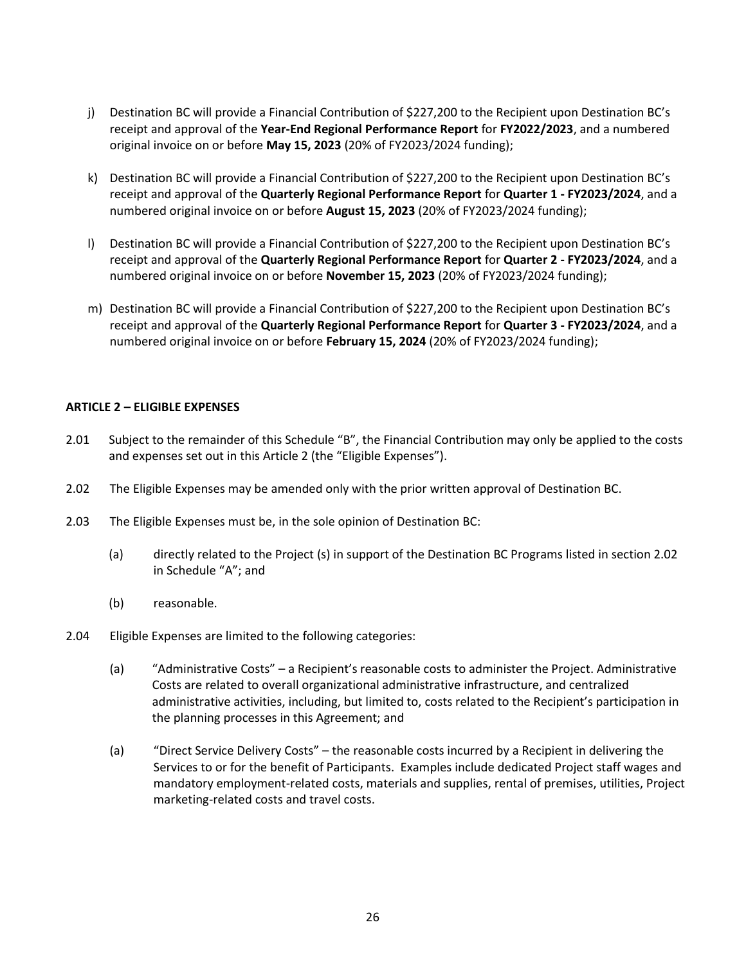- j) Destination BC will provide a Financial Contribution of \$227,200 to the Recipient upon Destination BC's receipt and approval of the **Year-End Regional Performance Report** for **FY2022/2023**, and a numbered original invoice on or before **May 15, 2023** (20% of FY2023/2024 funding);
- k) Destination BC will provide a Financial Contribution of \$227,200 to the Recipient upon Destination BC's receipt and approval of the **Quarterly Regional Performance Report** for **Quarter 1 - FY2023/2024**, and a numbered original invoice on or before **August 15, 2023** (20% of FY2023/2024 funding);
- l) Destination BC will provide a Financial Contribution of \$227,200 to the Recipient upon Destination BC's receipt and approval of the **Quarterly Regional Performance Report** for **Quarter 2 - FY2023/2024**, and a numbered original invoice on or before **November 15, 2023** (20% of FY2023/2024 funding);
- m) Destination BC will provide a Financial Contribution of \$227,200 to the Recipient upon Destination BC's receipt and approval of the **Quarterly Regional Performance Report** for **Quarter 3 - FY2023/2024**, and a numbered original invoice on or before **February 15, 2024** (20% of FY2023/2024 funding);

## **ARTICLE 2 – ELIGIBLE EXPENSES**

- 2.01 Subject to the remainder of this Schedule "B", the Financial Contribution may only be applied to the costs and expenses set out in this Article 2 (the "Eligible Expenses").
- 2.02 The Eligible Expenses may be amended only with the prior written approval of Destination BC.
- 2.03 The Eligible Expenses must be, in the sole opinion of Destination BC:
	- (a) directly related to the Project (s) in support of the Destination BC Programs listed in section 2.02 in Schedule "A"; and
	- (b) reasonable.
- 2.04 Eligible Expenses are limited to the following categories:
	- (a) "Administrative Costs" a Recipient's reasonable costs to administer the Project. Administrative Costs are related to overall organizational administrative infrastructure, and centralized administrative activities, including, but limited to, costs related to the Recipient's participation in the planning processes in this Agreement; and
	- (a) "Direct Service Delivery Costs" the reasonable costs incurred by a Recipient in delivering the Services to or for the benefit of Participants. Examples include dedicated Project staff wages and mandatory employment-related costs, materials and supplies, rental of premises, utilities, Project marketing-related costs and travel costs.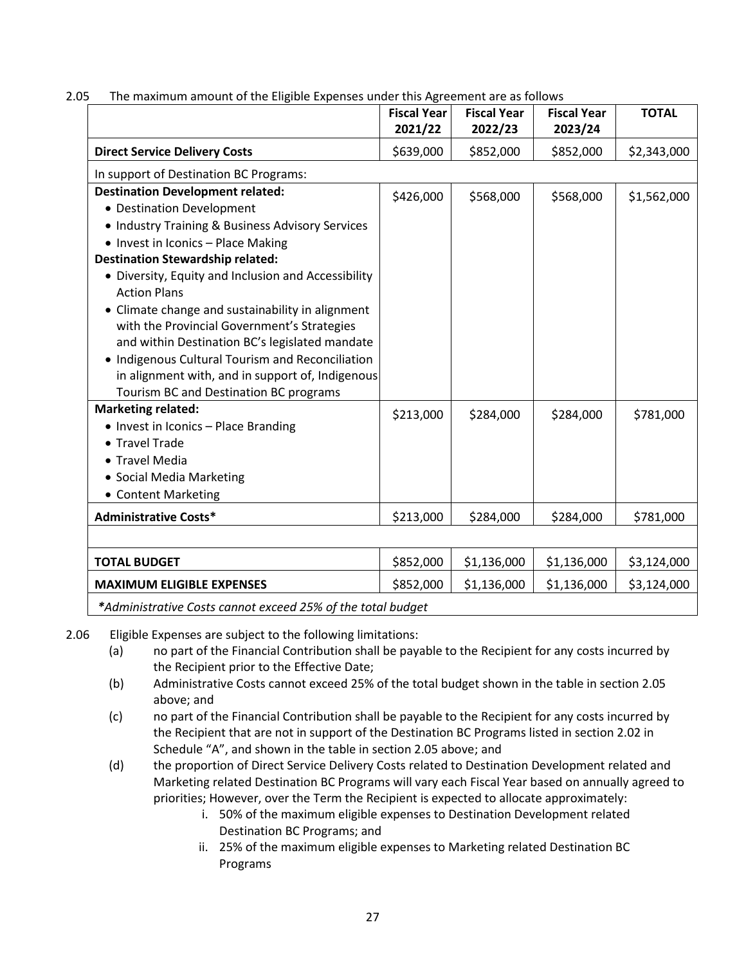|                                                                                                                                                                                                                                                                                                                                                                                                                                                                                                                                                                                                | <b>Fiscal Year</b><br>2021/22 | <b>Fiscal Year</b><br>2022/23 | <b>Fiscal Year</b><br>2023/24 | <b>TOTAL</b> |
|------------------------------------------------------------------------------------------------------------------------------------------------------------------------------------------------------------------------------------------------------------------------------------------------------------------------------------------------------------------------------------------------------------------------------------------------------------------------------------------------------------------------------------------------------------------------------------------------|-------------------------------|-------------------------------|-------------------------------|--------------|
| <b>Direct Service Delivery Costs</b>                                                                                                                                                                                                                                                                                                                                                                                                                                                                                                                                                           | \$639,000                     | \$852,000                     | \$852,000                     | \$2,343,000  |
| In support of Destination BC Programs:                                                                                                                                                                                                                                                                                                                                                                                                                                                                                                                                                         |                               |                               |                               |              |
| <b>Destination Development related:</b><br>• Destination Development<br>• Industry Training & Business Advisory Services<br>• Invest in Iconics - Place Making<br><b>Destination Stewardship related:</b><br>• Diversity, Equity and Inclusion and Accessibility<br><b>Action Plans</b><br>• Climate change and sustainability in alignment<br>with the Provincial Government's Strategies<br>and within Destination BC's legislated mandate<br>• Indigenous Cultural Tourism and Reconciliation<br>in alignment with, and in support of, Indigenous<br>Tourism BC and Destination BC programs | \$426,000                     | \$568,000                     | \$568,000                     | \$1,562,000  |
| <b>Marketing related:</b><br>• Invest in Iconics - Place Branding<br>• Travel Trade<br>• Travel Media<br>• Social Media Marketing<br>• Content Marketing                                                                                                                                                                                                                                                                                                                                                                                                                                       | \$213,000                     | \$284,000                     | \$284,000                     | \$781,000    |
| <b>Administrative Costs*</b>                                                                                                                                                                                                                                                                                                                                                                                                                                                                                                                                                                   | \$213,000                     | \$284,000                     | \$284,000                     | \$781,000    |
|                                                                                                                                                                                                                                                                                                                                                                                                                                                                                                                                                                                                |                               |                               |                               |              |
| <b>TOTAL BUDGET</b>                                                                                                                                                                                                                                                                                                                                                                                                                                                                                                                                                                            | \$852,000                     | \$1,136,000                   | \$1,136,000                   | \$3,124,000  |
| <b>MAXIMUM ELIGIBLE EXPENSES</b>                                                                                                                                                                                                                                                                                                                                                                                                                                                                                                                                                               | \$852,000                     | \$1,136,000                   | \$1,136,000                   | \$3,124,000  |
|                                                                                                                                                                                                                                                                                                                                                                                                                                                                                                                                                                                                |                               |                               |                               |              |

2.05 The maximum amount of the Eligible Expenses under this Agreement are as follows

*\*Administrative Costs cannot exceed 25% of the total budget*

- 2.06 Eligible Expenses are subject to the following limitations:
	- (a) no part of the Financial Contribution shall be payable to the Recipient for any costs incurred by the Recipient prior to the Effective Date;
	- (b) Administrative Costs cannot exceed 25% of the total budget shown in the table in section 2.05 above; and
	- (c) no part of the Financial Contribution shall be payable to the Recipient for any costs incurred by the Recipient that are not in support of the Destination BC Programs listed in section 2.02 in Schedule "A", and shown in the table in section 2.05 above; and
	- (d) the proportion of Direct Service Delivery Costs related to Destination Development related and Marketing related Destination BC Programs will vary each Fiscal Year based on annually agreed to priorities; However, over the Term the Recipient is expected to allocate approximately:
		- i. 50% of the maximum eligible expenses to Destination Development related Destination BC Programs; and
		- ii. 25% of the maximum eligible expenses to Marketing related Destination BC Programs